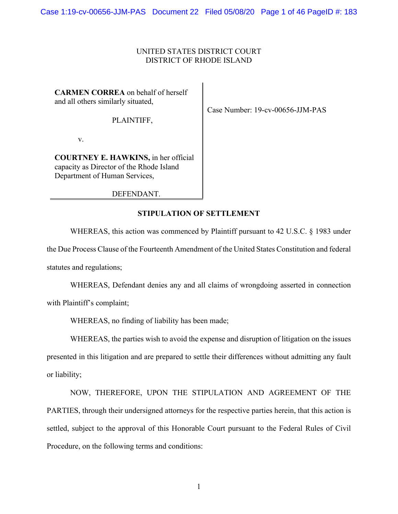## UNITED STATES DISTRICT COURT DISTRICT OF RHODE ISLAND

**CARMEN CORREA** on behalf of herself and all others similarly situated,

PLAINTIFF,

v.

**COURTNEY E. HAWKINS,** in her official capacity as Director of the Rhode Island Department of Human Services,

DEFENDANT.

**STIPULATION OF SETTLEMENT** 

 WHEREAS, this action was commenced by Plaintiff pursuant to 42 U.S.C. § 1983 under the Due Process Clause of the Fourteenth Amendment of the United States Constitution and federal statutes and regulations;

 WHEREAS, Defendant denies any and all claims of wrongdoing asserted in connection with Plaintiff's complaint;

WHEREAS, no finding of liability has been made;

 WHEREAS, the parties wish to avoid the expense and disruption of litigation on the issues presented in this litigation and are prepared to settle their differences without admitting any fault or liability;

 NOW, THEREFORE, UPON THE STIPULATION AND AGREEMENT OF THE PARTIES, through their undersigned attorneys for the respective parties herein, that this action is settled, subject to the approval of this Honorable Court pursuant to the Federal Rules of Civil Procedure, on the following terms and conditions:

1

Case Number: 19-cv-00656-JJM-PAS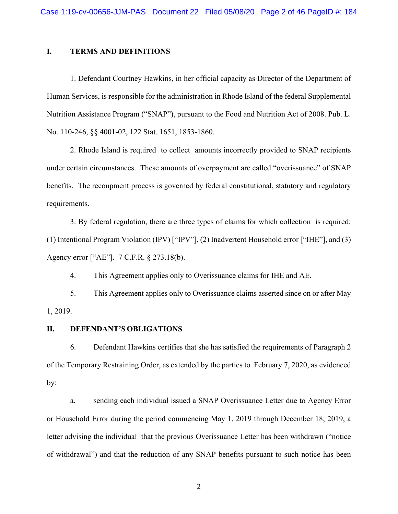## **I. TERMS AND DEFINITIONS**

1. Defendant Courtney Hawkins, in her official capacity as Director of the Department of Human Services, is responsible for the administration in Rhode Island of the federal Supplemental Nutrition Assistance Program ("SNAP"), pursuant to the Food and Nutrition Act of 2008. Pub. L. No. 110-246, §§ 4001-02, 122 Stat. 1651, 1853-1860.

2. Rhode Island is required to collect amounts incorrectly provided to SNAP recipients under certain circumstances. These amounts of overpayment are called "overissuance" of SNAP benefits. The recoupment process is governed by federal constitutional, statutory and regulatory requirements.

3. By federal regulation, there are three types of claims for which collection is required: (1) Intentional Program Violation (IPV) ["IPV"], (2) Inadvertent Household error ["IHE"], and (3) Agency error ["AE"]. 7 C.F.R. § 273.18(b).

4. This Agreement applies only to Overissuance claims for IHE and AE.

5. This Agreement applies only to Overissuance claims asserted since on or after May 1, 2019.

## **II. DEFENDANT'S OBLIGATIONS**

6. Defendant Hawkins certifies that she has satisfied the requirements of Paragraph 2 of the Temporary Restraining Order, as extended by the parties to February 7, 2020, as evidenced by:

a. sending each individual issued a SNAP Overissuance Letter due to Agency Error or Household Error during the period commencing May 1, 2019 through December 18, 2019, a letter advising the individual that the previous Overissuance Letter has been withdrawn ("notice of withdrawal") and that the reduction of any SNAP benefits pursuant to such notice has been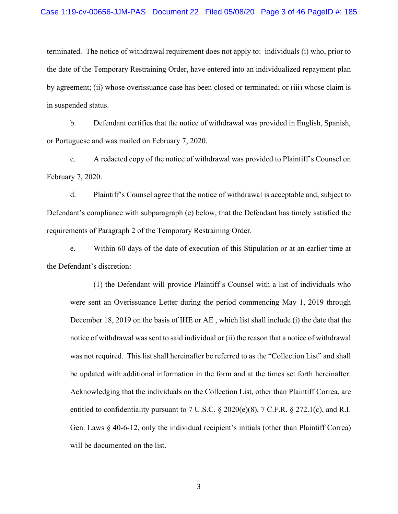### Case 1:19-cv-00656-JJM-PAS Document 22 Filed 05/08/20 Page 3 of 46 PageID #: 185

terminated. The notice of withdrawal requirement does not apply to: individuals (i) who, prior to the date of the Temporary Restraining Order, have entered into an individualized repayment plan by agreement; (ii) whose overissuance case has been closed or terminated; or (iii) whose claim is in suspended status.

b. Defendant certifies that the notice of withdrawal was provided in English, Spanish, or Portuguese and was mailed on February 7, 2020.

c. A redacted copy of the notice of withdrawal was provided to Plaintiff's Counsel on February 7, 2020.

d. Plaintiff's Counsel agree that the notice of withdrawal is acceptable and, subject to Defendant's compliance with subparagraph (e) below, that the Defendant has timely satisfied the requirements of Paragraph 2 of the Temporary Restraining Order.

e. Within 60 days of the date of execution of this Stipulation or at an earlier time at the Defendant's discretion:

(1) the Defendant will provide Plaintiff's Counsel with a list of individuals who were sent an Overissuance Letter during the period commencing May 1, 2019 through December 18, 2019 on the basis of IHE or AE , which list shall include (i) the date that the notice of withdrawal was sent to said individual or (ii) the reason that a notice of withdrawal was not required. This list shall hereinafter be referred to as the "Collection List" and shall be updated with additional information in the form and at the times set forth hereinafter. Acknowledging that the individuals on the Collection List, other than Plaintiff Correa, are entitled to confidentiality pursuant to 7 U.S.C. § 2020(e)(8), 7 C.F.R. § 272.1(c), and R.I. Gen. Laws § 40-6-12, only the individual recipient's initials (other than Plaintiff Correa) will be documented on the list.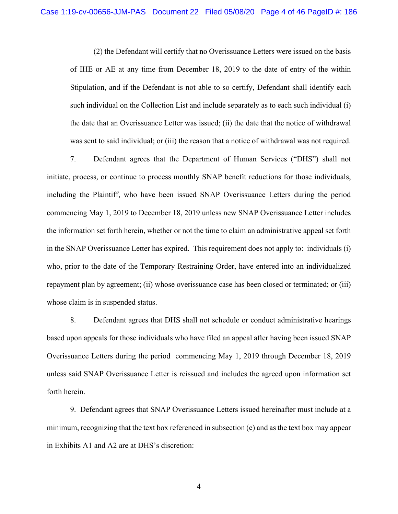(2) the Defendant will certify that no Overissuance Letters were issued on the basis of IHE or AE at any time from December 18, 2019 to the date of entry of the within Stipulation, and if the Defendant is not able to so certify, Defendant shall identify each such individual on the Collection List and include separately as to each such individual (i) the date that an Overissuance Letter was issued; (ii) the date that the notice of withdrawal was sent to said individual; or (iii) the reason that a notice of withdrawal was not required.

7. Defendant agrees that the Department of Human Services ("DHS") shall not initiate, process, or continue to process monthly SNAP benefit reductions for those individuals, including the Plaintiff, who have been issued SNAP Overissuance Letters during the period commencing May 1, 2019 to December 18, 2019 unless new SNAP Overissuance Letter includes the information set forth herein, whether or not the time to claim an administrative appeal set forth in the SNAP Overissuance Letter has expired. This requirement does not apply to: individuals (i) who, prior to the date of the Temporary Restraining Order, have entered into an individualized repayment plan by agreement; (ii) whose overissuance case has been closed or terminated; or (iii) whose claim is in suspended status.

8. Defendant agrees that DHS shall not schedule or conduct administrative hearings based upon appeals for those individuals who have filed an appeal after having been issued SNAP Overissuance Letters during the period commencing May 1, 2019 through December 18, 2019 unless said SNAP Overissuance Letter is reissued and includes the agreed upon information set forth herein.

 9. Defendant agrees that SNAP Overissuance Letters issued hereinafter must include at a minimum, recognizing that the text box referenced in subsection (e) and as the text box may appear in Exhibits A1 and A2 are at DHS's discretion: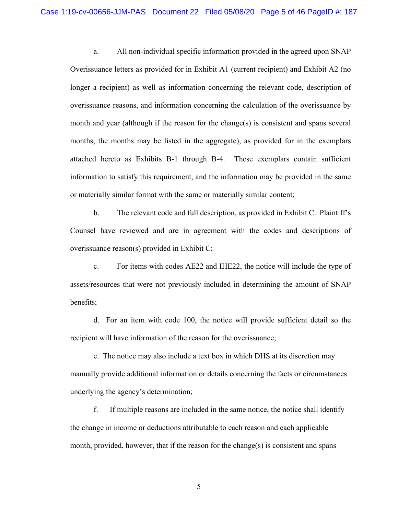a. All non-individual specific information provided in the agreed upon SNAP Overissuance letters as provided for in Exhibit A1 (current recipient) and Exhibit A2 (no longer a recipient) as well as information concerning the relevant code, description of overissuance reasons, and information concerning the calculation of the overissuance by month and year (although if the reason for the change(s) is consistent and spans several months, the months may be listed in the aggregate), as provided for in the exemplars attached hereto as Exhibits B-1 through B-4. These exemplars contain sufficient information to satisfy this requirement, and the information may be provided in the same or materially similar format with the same or materially similar content;

b. The relevant code and full description, as provided in Exhibit C. Plaintiff's Counsel have reviewed and are in agreement with the codes and descriptions of overissuance reason(s) provided in Exhibit C;

c. For items with codes AE22 and IHE22, the notice will include the type of assets/resources that were not previously included in determining the amount of SNAP benefits;

d. For an item with code 100, the notice will provide sufficient detail so the recipient will have information of the reason for the overissuance;

e. The notice may also include a text box in which DHS at its discretion may manually provide additional information or details concerning the facts or circumstances underlying the agency's determination;

 f. If multiple reasons are included in the same notice, the notice shall identify the change in income or deductions attributable to each reason and each applicable month, provided, however, that if the reason for the change(s) is consistent and spans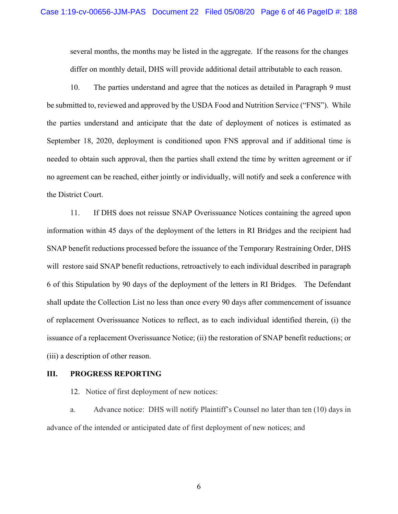several months, the months may be listed in the aggregate. If the reasons for the changes differ on monthly detail, DHS will provide additional detail attributable to each reason.

10. The parties understand and agree that the notices as detailed in Paragraph 9 must be submitted to, reviewed and approved by the USDA Food and Nutrition Service ("FNS"). While the parties understand and anticipate that the date of deployment of notices is estimated as September 18, 2020, deployment is conditioned upon FNS approval and if additional time is needed to obtain such approval, then the parties shall extend the time by written agreement or if no agreement can be reached, either jointly or individually, will notify and seek a conference with the District Court.

11. If DHS does not reissue SNAP Overissuance Notices containing the agreed upon information within 45 days of the deployment of the letters in RI Bridges and the recipient had SNAP benefit reductions processed before the issuance of the Temporary Restraining Order, DHS will restore said SNAP benefit reductions, retroactively to each individual described in paragraph 6 of this Stipulation by 90 days of the deployment of the letters in RI Bridges. The Defendant shall update the Collection List no less than once every 90 days after commencement of issuance of replacement Overissuance Notices to reflect, as to each individual identified therein, (i) the issuance of a replacement Overissuance Notice; (ii) the restoration of SNAP benefit reductions; or (iii) a description of other reason.

## **III. PROGRESS REPORTING**

12. Notice of first deployment of new notices:

a. Advance notice: DHS will notify Plaintiff's Counsel no later than ten (10) days in advance of the intended or anticipated date of first deployment of new notices; and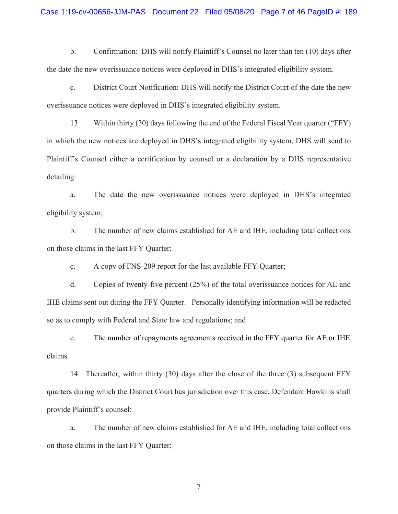### Case 1:19-cv-00656-JJM-PAS Document 22 Filed 05/08/20 Page 7 of 46 PageID #: 189

b. Confirmation: DHS will notify Plaintiff's Counsel no later than ten (10) days after the date the new overissuance notices were deployed in DHS's integrated eligibility system.

c. District Court Notification: DHS will notify the District Court of the date the new overissuance notices were deployed in DHS's integrated eligibility system.

13 Within thirty (30) days following the end of the Federal Fiscal Year quarter ("FFY) in which the new notices are deployed in DHS's integrated eligibility system, DHS will send to Plaintiff's Counsel either a certification by counsel or a declaration by a DHS representative detailing:

a. The date the new overissuance notices were deployed in DHS's integrated eligibility system;

b. The number of new claims established for AE and IHE, including total collections on those claims in the last FFY Quarter;

c. A copy of FNS-209 report for the last available FFY Quarter;

d. Copies of twenty-five percent (25%) of the total overissuance notices for AE and IHE claims sent out during the FFY Quarter. Personally identifying information will be redacted so as to comply with Federal and State law and regulations; and

 e. The number of repayments agreements received in the FFY quarter for AE or IHE claims.

 14. Thereafter, within thirty (30) days after the close of the three (3) subsequent FFY quarters during which the District Court has jurisdiction over this case, Defendant Hawkins shall provide Plaintiff's counsel:

a. The number of new claims established for AE and IHE, including total collections on those claims in the last FFY Quarter;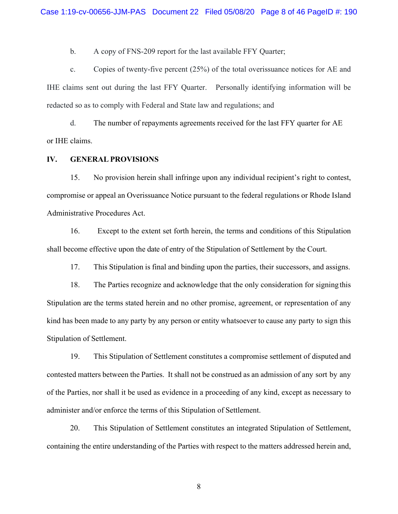b. A copy of FNS-209 report for the last available FFY Quarter;

 c. Copies of twenty-five percent (25%) of the total overissuance notices for AE and IHE claims sent out during the last FFY Quarter. Personally identifying information will be redacted so as to comply with Federal and State law and regulations; and

 d. The number of repayments agreements received for the last FFY quarter for AE or IHE claims.

## **IV. GENERAL PROVISIONS**

15. No provision herein shall infringe upon any individual recipient's right to contest, compromise or appeal an Overissuance Notice pursuant to the federal regulations or Rhode Island Administrative Procedures Act.

 16. Except to the extent set forth herein, the terms and conditions of this Stipulation shall become effective upon the date of entry of the Stipulation of Settlement by the Court.

17. This Stipulation is final and binding upon the parties, their successors, and assigns.

18. The Parties recognize and acknowledge that the only consideration for signing this Stipulation are the terms stated herein and no other promise, agreement, or representation of any kind has been made to any party by any person or entity whatsoever to cause any party to sign this Stipulation of Settlement.

19. This Stipulation of Settlement constitutes a compromise settlement of disputed and contested matters between the Parties. It shall not be construed as an admission of any sort by any of the Parties, nor shall it be used as evidence in a proceeding of any kind, except as necessary to administer and/or enforce the terms of this Stipulation of Settlement.

20. This Stipulation of Settlement constitutes an integrated Stipulation of Settlement, containing the entire understanding of the Parties with respect to the matters addressed herein and,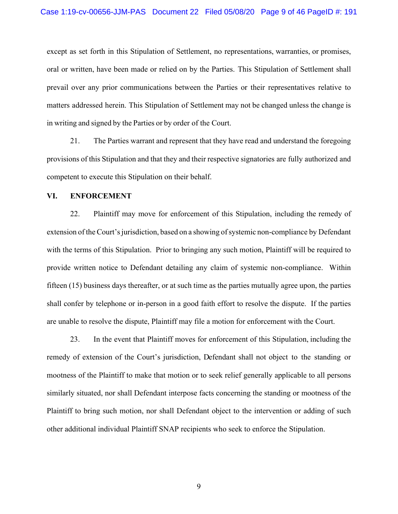except as set forth in this Stipulation of Settlement, no representations, warranties, or promises, oral or written, have been made or relied on by the Parties. This Stipulation of Settlement shall prevail over any prior communications between the Parties or their representatives relative to matters addressed herein. This Stipulation of Settlement may not be changed unless the change is in writing and signed by the Parties or by order of the Court.

21. The Parties warrant and represent that they have read and understand the foregoing provisions of this Stipulation and that they and their respective signatories are fully authorized and competent to execute this Stipulation on their behalf.

## **VI. ENFORCEMENT**

22. Plaintiff may move for enforcement of this Stipulation, including the remedy of extension of the Court's jurisdiction, based on a showing of systemic non-compliance by Defendant with the terms of this Stipulation. Prior to bringing any such motion, Plaintiff will be required to provide written notice to Defendant detailing any claim of systemic non-compliance. Within fifteen (15) business days thereafter, or at such time as the parties mutually agree upon, the parties shall confer by telephone or in-person in a good faith effort to resolve the dispute. If the parties are unable to resolve the dispute, Plaintiff may file a motion for enforcement with the Court.

23. In the event that Plaintiff moves for enforcement of this Stipulation, including the remedy of extension of the Court's jurisdiction, Defendant shall not object to the standing or mootness of the Plaintiff to make that motion or to seek relief generally applicable to all persons similarly situated, nor shall Defendant interpose facts concerning the standing or mootness of the Plaintiff to bring such motion, nor shall Defendant object to the intervention or adding of such other additional individual Plaintiff SNAP recipients who seek to enforce the Stipulation.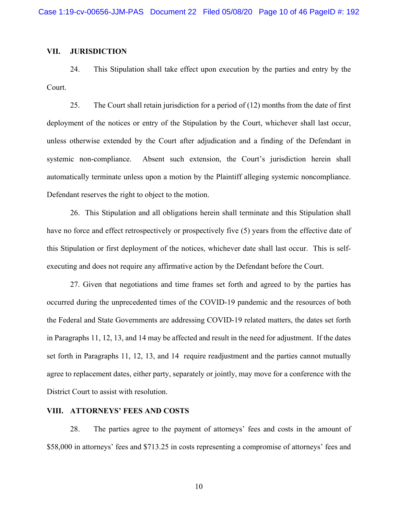## **VII. JURISDICTION**

24. This Stipulation shall take effect upon execution by the parties and entry by the Court.

25. The Court shall retain jurisdiction for a period of (12) months from the date of first deployment of the notices or entry of the Stipulation by the Court, whichever shall last occur, unless otherwise extended by the Court after adjudication and a finding of the Defendant in systemic non-compliance. Absent such extension, the Court's jurisdiction herein shall automatically terminate unless upon a motion by the Plaintiff alleging systemic noncompliance. Defendant reserves the right to object to the motion.

26. This Stipulation and all obligations herein shall terminate and this Stipulation shall have no force and effect retrospectively or prospectively five (5) years from the effective date of this Stipulation or first deployment of the notices, whichever date shall last occur. This is selfexecuting and does not require any affirmative action by the Defendant before the Court.

27. Given that negotiations and time frames set forth and agreed to by the parties has occurred during the unprecedented times of the COVID-19 pandemic and the resources of both the Federal and State Governments are addressing COVID-19 related matters, the dates set forth in Paragraphs 11, 12, 13, and 14 may be affected and result in the need for adjustment. If the dates set forth in Paragraphs 11, 12, 13, and 14 require readjustment and the parties cannot mutually agree to replacement dates, either party, separately or jointly, may move for a conference with the District Court to assist with resolution.

## **VIII. ATTORNEYS' FEES AND COSTS**

28. The parties agree to the payment of attorneys' fees and costs in the amount of \$58,000 in attorneys' fees and \$713.25 in costs representing a compromise of attorneys' fees and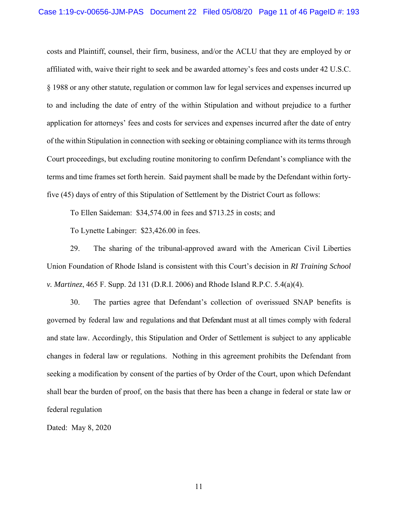costs and Plaintiff, counsel, their firm, business, and/or the ACLU that they are employed by or affiliated with, waive their right to seek and be awarded attorney's fees and costs under 42 U.S.C. § 1988 or any other statute, regulation or common law for legal services and expenses incurred up to and including the date of entry of the within Stipulation and without prejudice to a further application for attorneys' fees and costs for services and expenses incurred after the date of entry of the within Stipulation in connection with seeking or obtaining compliance with its terms through Court proceedings, but excluding routine monitoring to confirm Defendant's compliance with the terms and time frames set forth herein. Said payment shall be made by the Defendant within fortyfive (45) days of entry of this Stipulation of Settlement by the District Court as follows:

To Ellen Saideman: \$34,574.00 in fees and \$713.25 in costs; and

To Lynette Labinger: \$23,426.00 in fees.

29. The sharing of the tribunal-approved award with the American Civil Liberties Union Foundation of Rhode Island is consistent with this Court's decision in *RI Training School v. Martinez*, 465 F. Supp. 2d 131 (D.R.I. 2006) and Rhode Island R.P.C. 5.4(a)(4).

30. The parties agree that Defendant's collection of overissued SNAP benefits is governed by federal law and regulations and that Defendant must at all times comply with federal and state law. Accordingly, this Stipulation and Order of Settlement is subject to any applicable changes in federal law or regulations. Nothing in this agreement prohibits the Defendant from seeking a modification by consent of the parties of by Order of the Court, upon which Defendant shall bear the burden of proof, on the basis that there has been a change in federal or state law or federal regulation

Dated: May 8, 2020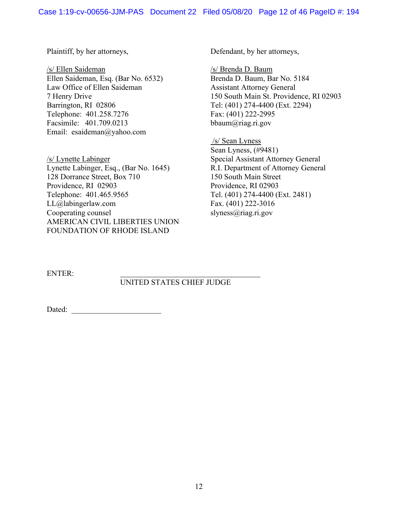Plaintiff, by her attorneys,

/s/ Ellen Saideman Ellen Saideman, Esq. (Bar No. 6532) Law Office of Ellen Saideman 7 Henry Drive Barrington, RI 02806 Telephone: 401.258.7276 Facsimile: 401.709.0213 Email: esaideman@yahoo.com

/s/ Lynette Labinger Lynette Labinger, Esq., (Bar No. 1645) 128 Dorrance Street, Box 710 Providence, RI 02903 Telephone: 401.465.9565 LL@labingerlaw.com Cooperating counsel AMERICAN CIVIL LIBERTIES UNION FOUNDATION OF RHODE ISLAND

Defendant, by her attorneys,

/s/ Brenda D. Baum Brenda D. Baum, Bar No. 5184 Assistant Attorney General 150 South Main St. Providence, RI 02903 Tel: (401) 274-4400 (Ext. 2294) Fax: (401) 222-2995 bbaum@riag.ri.gov

 /s/ Sean Lyness Sean Lyness, (#9481) Special Assistant Attorney General R.I. Department of Attorney General 150 South Main Street Providence, RI 02903 Tel. (401) 274-4400 (Ext. 2481) Fax. (401) 222-3016 slyness@riag.ri.gov

ENTER:

## UNITED STATES CHIEF JUDGE

Dated: \_\_\_\_\_\_\_\_\_\_\_\_\_\_\_\_\_\_\_\_\_\_\_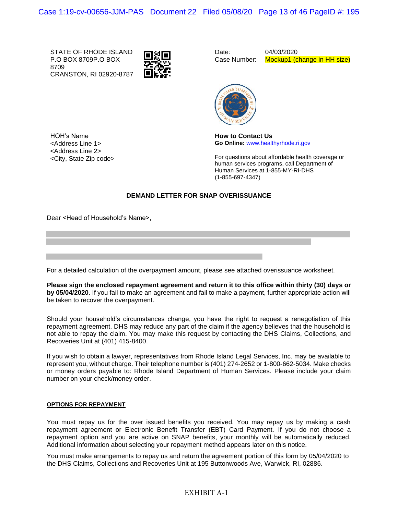STATE OF RHODE ISLAND P.O BOX 8709P.O BOX 8709 CRANSTON, RI 02920-8787



Date: Case Number:

04/03/2020 Mockup1 (change in HH size)



HOH's Name <Address Line 1> <Address Line 2> <City, State Zip code> **How to Contact Us Go Online:** www.healthyrhode.ri.gov

For questions about affordable health coverage or human services programs, call Department of Human Services at 1-855-MY-RI-DHS (1-855-697-4347)

#### **DEMAND LETTER FOR SNAP OVERISSUANCE**

Dear <Head of Household's Name>,

For a detailed calculation of the overpayment amount, please see attached overissuance worksheet.

**Please sign the enclosed repayment agreement and return it to this office within thirty (30) days or by 05/04/2020**. If you fail to make an agreement and fail to make a payment, further appropriate action will be taken to recover the overpayment.

Should your household's circumstances change, you have the right to request a renegotiation of this repayment agreement. DHS may reduce any part of the claim if the agency believes that the household is not able to repay the claim. You may make this request by contacting the DHS Claims, Collections, and Recoveries Unit at (401) 415-8400.

If you wish to obtain a lawyer, representatives from Rhode Island Legal Services, Inc. may be available to represent you, without charge. Their telephone number is (401) 274-2652 or 1-800-662-5034. Make checks or money orders payable to: Rhode Island Department of Human Services. Please include your claim number on your check/money order.

#### **OPTIONS FOR REPAYMENT**

You must repay us for the over issued benefits you received. You may repay us by making a cash repayment agreement or Electronic Benefit Transfer (EBT) Card Payment. If you do not choose a repayment option and you are active on SNAP benefits, your monthly will be automatically reduced. Additional information about selecting your repayment method appears later on this notice.

You must make arrangements to repay us and return the agreement portion of this form by 05/04/2020 to the DHS Claims, Collections and Recoveries Unit at 195 Buttonwoods Ave, Warwick, RI, 02886.

## EXHIBIT A-1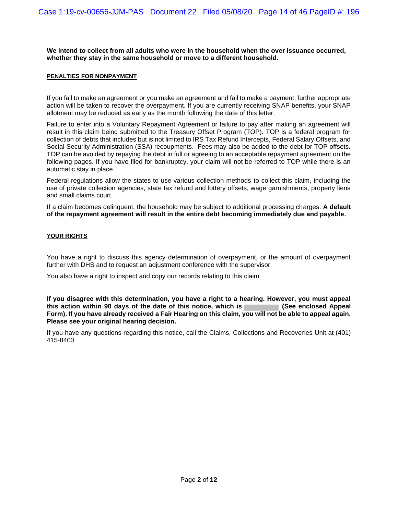**We intend to collect from all adults who were in the household when the over issuance occurred, whether they stay in the same household or move to a different household.**

#### **PENALTIES FOR NONPAYMENT**

If you fail to make an agreement or you make an agreement and fail to make a payment, further appropriate action will be taken to recover the overpayment. If you are currently receiving SNAP benefits, your SNAP allotment may be reduced as early as the month following the date of this letter.

Failure to enter into a Voluntary Repayment Agreement or failure to pay after making an agreement will result in this claim being submitted to the Treasury Offset Program (TOP). TOP is a federal program for collection of debts that includes but is not limited to IRS Tax Refund Intercepts, Federal Salary Offsets, and Social Security Administration (SSA) recoupments. Fees may also be added to the debt for TOP offsets. TOP can be avoided by repaying the debt in full or agreeing to an acceptable repayment agreement on the following pages. If you have filed for bankruptcy, your claim will not be referred to TOP while there is an automatic stay in place.

Federal regulations allow the states to use various collection methods to collect this claim, including the use of private collection agencies, state tax refund and lottery offsets, wage garnishments, property liens and small claims court.

If a claim becomes delinquent, the household may be subject to additional processing charges. **A default of the repayment agreement will result in the entire debt becoming immediately due and payable.**

#### **YOUR RIGHTS**

You have a right to discuss this agency determination of overpayment, or the amount of overpayment further with DHS and to request an adjustment conference with the supervisor.

You also have a right to inspect and copy our records relating to this claim.

**If you disagree with this determination, you have a right to a hearing. However, you must appeal** this action within 90 days of the date of this notice, which is **Form). If you have already received a Fair Hearing on this claim, you will not be able to appeal again. Please see your original hearing decision.**

If you have any questions regarding this notice, call the Claims, Collections and Recoveries Unit at (401) 415-8400.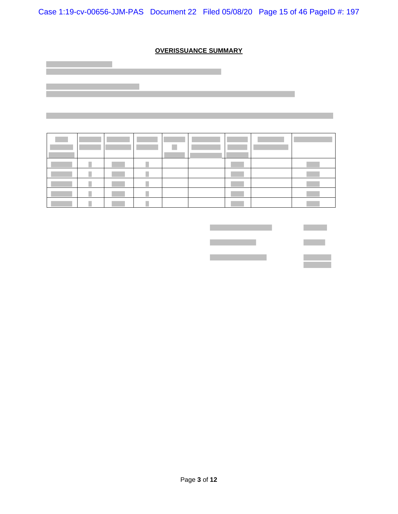Case 1:19-cv-00656-JJM-PAS Document 22 Filed 05/08/20 Page 15 of 46 PageID #: 197

## **OVERISSUANCE SUMMARY**

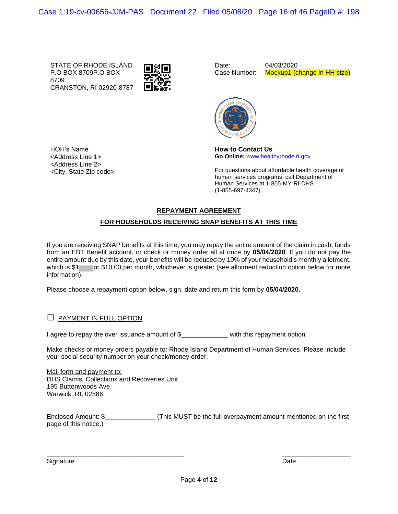STATE OF RHODE ISLAND P.O BOX 8709P.O BOX 8709 CRANSTON, RI 02920-8787

HOH's Name <Address Line 1> <Address Line 2> <City, State Zip code>



Date: Case Number:

04/03/2020 Mockup1 (change in HH size)



**How to Contact Us Go Online:** www.healthyrhode.ri.gov

For questions about affordable health coverage or human services programs, call Department of Human Services at 1-855-MY-RI-DHS (1-855-697-4347)

## **REPAYMENT AGREEMENT**

## **FOR HOUSEHOLDS RECEIVING SNAP BENEFITS AT THIS TIME**

If you are receiving SNAP benefits at this time, you may repay the entire amount of the claim in cash, funds from an EBT Benefit account, or check or money order all at once by **05/04/2020**. If you do not pay the entire amount due by this date, your benefits will be reduced by 10% of your household's monthly allotment, which is \$1 or \$10.00 per month, whichever is greater (see allotment reduction option below for more information).

Please choose a repayment option below, sign, date and return this form by **05/04/2020.**

## $\Box$  PAYMENT IN FULL OPTION

I agree to repay the over issuance amount of \$\_\_\_\_\_\_\_\_\_\_\_\_ with this repayment option.

Make checks or money orders payable to: Rhode Island Department of Human Services. Please include your social security number on your check/money order.

Mail form and payment to: DHS Claims, Collections and Recoveries Unit 195 Buttonwoods Ave Warwick, RI, 02886

Enclosed Amount: \$\_\_\_\_\_\_\_\_\_\_\_\_\_\_ (This MUST be the full overpayment amount mentioned on the first page of this notice.)

Signature Date Date of the Date of the Date of the Date of the Date of the Date of the Date of the Date of the

\_\_\_\_\_\_\_\_\_\_\_\_\_\_\_\_\_\_\_\_\_\_\_\_\_\_\_\_\_\_\_\_\_\_\_\_\_\_ \_\_\_\_\_\_\_\_\_\_\_\_\_\_\_\_\_\_\_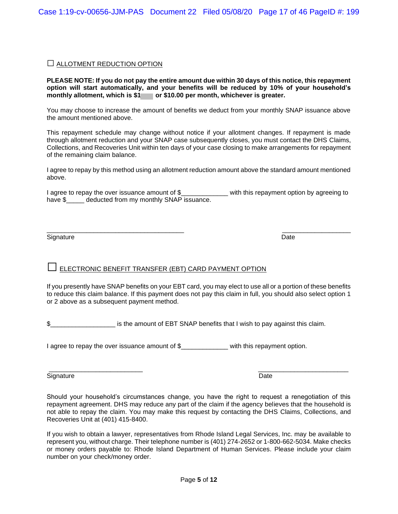## **□** ALLOTMENT REDUCTION OPTION

**PLEASE NOTE: If you do not pay the entire amount due within 30 days of this notice, this repayment option will start automatically, and your benefits will be reduced by 10% of your household's monthly allotment, which is \$1 or \$10.00 per month, whichever is greater.**

You may choose to increase the amount of benefits we deduct from your monthly SNAP issuance above the amount mentioned above.

This repayment schedule may change without notice if your allotment changes. If repayment is made through allotment reduction and your SNAP case subsequently closes, you must contact the DHS Claims, Collections, and Recoveries Unit within ten days of your case closing to make arrangements for repayment of the remaining claim balance.

I agree to repay by this method using an allotment reduction amount above the standard amount mentioned above.

I agree to repay the over issuance amount of \$\_\_\_\_\_\_\_\_\_\_\_\_\_ with this repayment option by agreeing to have \$\_\_\_\_\_ deducted from my monthly SNAP issuance.

\_\_\_\_\_\_\_\_\_\_\_\_\_\_\_\_\_\_\_\_\_\_\_\_\_\_\_\_\_\_\_\_\_\_\_\_\_\_ \_\_\_\_\_\_\_\_\_\_\_\_\_\_\_\_\_\_\_

Signature Date **Date** 

# **□** ELECTRONIC BENEFIT TRANSFER (EBT) CARD PAYMENT OPTION

If you presently have SNAP benefits on your EBT card, you may elect to use all or a portion of these benefits to reduce this claim balance. If this payment does not pay this claim in full, you should also select option 1 or 2 above as a subsequent payment method.

\$\_\_\_\_\_\_\_\_\_\_\_\_\_\_\_\_\_\_ is the amount of EBT SNAP benefits that I wish to pay against this claim.

I agree to repay the over issuance amount of \$\_\_\_\_\_\_\_\_\_\_\_\_ with this repayment option.

Signature Date **Date** 

Should your household's circumstances change, you have the right to request a renegotiation of this repayment agreement. DHS may reduce any part of the claim if the agency believes that the household is not able to repay the claim. You may make this request by contacting the DHS Claims, Collections, and Recoveries Unit at (401) 415-8400.

If you wish to obtain a lawyer, representatives from Rhode Island Legal Services, Inc. may be available to represent you, without charge. Their telephone number is (401) 274-2652 or 1-800-662-5034. Make checks or money orders payable to: Rhode Island Department of Human Services. Please include your claim number on your check/money order.

\_\_\_\_\_\_\_\_\_\_\_\_\_\_\_\_\_\_\_\_\_\_\_\_\_\_ \_\_\_\_\_\_\_\_\_\_\_\_\_\_\_\_\_\_\_\_\_\_\_\_\_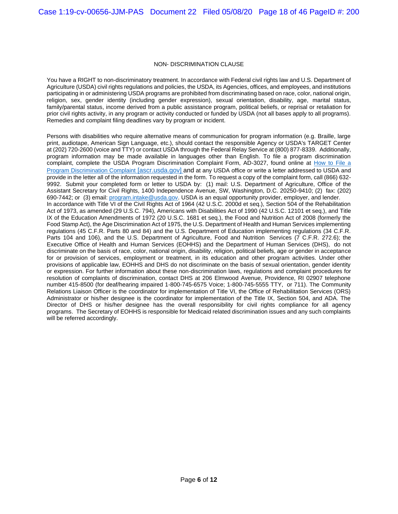#### NON- DISCRIMINATION CLAUSE

You have a RIGHT to non-discriminatory treatment. In accordance with Federal civil rights law and U.S. Department of Agriculture (USDA) civil rights regulations and policies, the USDA, its Agencies, offices, and employees, and institutions participating in or administering USDA programs are prohibited from discriminating based on race, color, national origin, religion, sex, gender identity (including gender expression), sexual orientation, disability, age, marital status, family/parental status, income derived from a public assistance program, political beliefs, or reprisal or retaliation for prior civil rights activity, in any program or activity conducted or funded by USDA (not all bases apply to all programs). Remedies and complaint filing deadlines vary by program or incident.

Persons with disabilities who require alternative means of communication for program information (e.g. Braille, large print, audiotape, American Sign Language, etc.), should contact the responsible Agency or USDA's TARGET Center at (202) 720-2600 (voice and TTY) or contact USDA through the Federal Relay Service at (800) 877-8339. Additionally, program information may be made available in languages other than English. To file a program discrimination complaint, complete the USDA Program Discrimination Complaint Form, AD-3027, found online at [How to File a](https://urldefense.proofpoint.com/v2/url?u=https-3A__www.ascr.usda.gov_how-2Dfile-2Dprogram-2Ddiscrimination-2Dcomplaint&d=DwMFAg&c=tSLbvWYfvulPN3G_n48TUw&r=Os9tapDaH2o-oc7UGo-6pqmGllvV2ROavh41kMx3JTA&m=VUePJeRPFuBMghttFNN53Ax-t0aiWCW9D5o0UmxDOvQ&s=eCdHoFMyMx7fZipY4rgfoyVK3zlsNOlZKN2kc4E6R4Y&e=)  [Program Discrimination Complaint](https://urldefense.proofpoint.com/v2/url?u=https-3A__www.ascr.usda.gov_how-2Dfile-2Dprogram-2Ddiscrimination-2Dcomplaint&d=DwMFAg&c=tSLbvWYfvulPN3G_n48TUw&r=Os9tapDaH2o-oc7UGo-6pqmGllvV2ROavh41kMx3JTA&m=VUePJeRPFuBMghttFNN53Ax-t0aiWCW9D5o0UmxDOvQ&s=eCdHoFMyMx7fZipY4rgfoyVK3zlsNOlZKN2kc4E6R4Y&e=) [ascr.usda.gov] and at any USDA office or write a letter addressed to USDA and provide in the letter all of the information requested in the form. To request a copy of the complaint form, call (866) 632- 9992. Submit your completed form or letter to USDA by: (1) mail: U.S. Department of Agriculture, Office of the Assistant Secretary for Civil Rights, 1400 Independence Avenue, SW, Washington, D.C. 20250-9410; (2) fax: (202) 690-7442; or (3) email: [program.intake@usda.gov.](mailto:program.intake@usda.gov) USDA is an equal opportunity provider, employer, and lender. In accordance with Title VI of the Civil Rights Act of 1964 (42 U.S.C. 2000d et seq.), Section 504 of the Rehabilitation Act of 1973, as amended (29 U.S.C. 794), Americans with Disabilities Act of 1990 (42 U.S.C. 12101 et seq.), and Title IX of the Education Amendments of 1972 (20 U.S.C. 1681 et seq.), the Food and Nutrition Act of 2008 (formerly the Food Stamp Act), the Age Discrimination Act of 1975, the U.S. Department of Health and Human Services implementing regulations (45 C.F.R. Parts 80 and 84) and the U.S. Department of Education implementing regulations (34 C.F.R. Parts 104 and 106), and the U.S. Department of Agriculture, Food and Nutrition Services (7 C.F.R. 272.6); the Executive Office of Health and Human Services (EOHHS) and the Department of Human Services (DHS), do not discriminate on the basis of race, color, national origin, disability, religion, political beliefs, age or gender in acceptance for or provision of services, employment or treatment, in its education and other program activities. Under other provisions of applicable law, EOHHS and DHS do not discriminate on the basis of sexual orientation, gender identity or expression. For further information about these non-discrimination laws, regulations and complaint procedures for resolution of complaints of discrimination, contact DHS at 206 Elmwood Avenue, Providence, RI 02907 telephone number 415-8500 (for deaf/hearing impaired 1-800-745-6575 Voice; 1-800-745-5555 TTY, or 711). The Community Relations Liaison Officer is the coordinator for implementation of Title VI, the Office of Rehabilitation Services (ORS) Administrator or his/her designee is the coordinator for implementation of the Title IX, Section 504, and ADA. The Director of DHS or his/her designee has the overall responsibility for civil rights compliance for all agency programs. The Secretary of EOHHS is responsible for Medicaid related discrimination issues and any such complaints will be referred accordingly.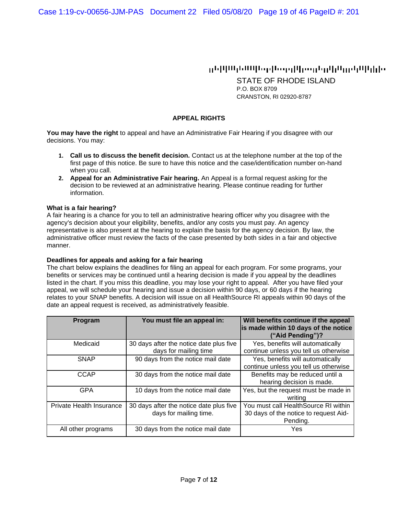# وارزرا اللرامرز الرائروا رومرا إرووما إمانا المار الالإيلين

STATE OF RHODE ISLAND P.O. BOX 8709 CRANSTON, RI 02920-8787

## **APPEAL RIGHTS**

**You may have the right** to appeal and have an Administrative Fair Hearing if you disagree with our decisions. You may:

- **1. Call us to discuss the benefit decision.** Contact us at the telephone number at the top of the first page of this notice. Be sure to have this notice and the case/identification number on-hand when you call.
- **2. Appeal for an Administrative Fair hearing.** An Appeal is a formal request asking for the decision to be reviewed at an administrative hearing. Please continue reading for further information.

#### **What is a fair hearing?**

A fair hearing is a chance for you to tell an administrative hearing officer why you disagree with the agency's decision about your eligibility, benefits, and/or any costs you must pay. An agency representative is also present at the hearing to explain the basis for the agency decision. By law, the administrative officer must review the facts of the case presented by both sides in a fair and objective manner.

#### **Deadlines for appeals and asking for a fair hearing**

The chart below explains the deadlines for filing an appeal for each program. For some programs, your benefits or services may be continued until a hearing decision is made if you appeal by the deadlines listed in the chart. If you miss this deadline, you may lose your right to appeal. After you have filed your appeal, we will schedule your hearing and issue a decision within 90 days, or 60 days if the hearing relates to your SNAP benefits. A decision will issue on all HealthSource RI appeals within 90 days of the date an appeal request is received, as administratively feasible.

| <b>Program</b>           | You must file an appeal in:                                       | Will benefits continue if the appeal<br>is made within 10 days of the notice<br>("Aid Pending")? |
|--------------------------|-------------------------------------------------------------------|--------------------------------------------------------------------------------------------------|
| Medicaid                 | 30 days after the notice date plus five<br>days for mailing time  | Yes, benefits will automatically<br>continue unless you tell us otherwise                        |
| <b>SNAP</b>              | 90 days from the notice mail date                                 | Yes, benefits will automatically<br>continue unless you tell us otherwise                        |
| <b>CCAP</b>              | 30 days from the notice mail date                                 | Benefits may be reduced until a<br>hearing decision is made.                                     |
| GPA                      | 10 days from the notice mail date                                 | Yes, but the request must be made in<br>writing                                                  |
| Private Health Insurance | 30 days after the notice date plus five<br>days for mailing time. | You must call HealthSource RI within<br>30 days of the notice to request Aid-<br>Pending.        |
| All other programs       | 30 days from the notice mail date                                 | Yes                                                                                              |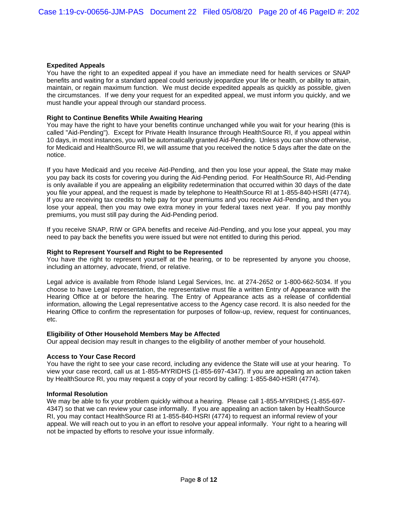## **Expedited Appeals**

You have the right to an expedited appeal if you have an immediate need for health services or SNAP benefits and waiting for a standard appeal could seriously jeopardize your life or health, or ability to attain, maintain, or regain maximum function. We must decide expedited appeals as quickly as possible, given the circumstances. If we deny your request for an expedited appeal, we must inform you quickly, and we must handle your appeal through our standard process.

## **Right to Continue Benefits While Awaiting Hearing**

You may have the right to have your benefits continue unchanged while you wait for your hearing (this is called "Aid-Pending"). Except for Private Health Insurance through HealthSource RI, if you appeal within 10 days, in most instances, you will be automatically granted Aid-Pending. Unless you can show otherwise, for Medicaid and HealthSource RI, we will assume that you received the notice 5 days after the date on the notice.

If you have Medicaid and you receive Aid-Pending, and then you lose your appeal, the State may make you pay back its costs for covering you during the Aid-Pending period. For HealthSource RI, Aid-Pending is only available if you are appealing an eligibility redetermination that occurred within 30 days of the date you file your appeal, and the request is made by telephone to HealthSource RI at 1-855-840-HSRI (4774). If you are receiving tax credits to help pay for your premiums and you receive Aid-Pending, and then you lose your appeal, then you may owe extra money in your federal taxes next year. If you pay monthly premiums, you must still pay during the Aid-Pending period.

If you receive SNAP, RIW or GPA benefits and receive Aid-Pending, and you lose your appeal, you may need to pay back the benefits you were issued but were not entitled to during this period.

## **Right to Represent Yourself and Right to be Represented**

You have the right to represent yourself at the hearing, or to be represented by anyone you choose, including an attorney, advocate, friend, or relative.

Legal advice is available from Rhode Island Legal Services, Inc. at 274-2652 or 1-800-662-5034. If you choose to have Legal representation, the representative must file a written Entry of Appearance with the Hearing Office at or before the hearing. The Entry of Appearance acts as a release of confidential information, allowing the Legal representative access to the Agency case record. It is also needed for the Hearing Office to confirm the representation for purposes of follow-up, review, request for continuances, etc.

### **Eligibility of Other Household Members May be Affected**

Our appeal decision may result in changes to the eligibility of another member of your household.

### **Access to Your Case Record**

You have the right to see your case record, including any evidence the State will use at your hearing. To view your case record, call us at 1-855-MYRIDHS (1-855-697-4347). If you are appealing an action taken by HealthSource RI, you may request a copy of your record by calling: 1-855-840-HSRI (4774).

### **Informal Resolution**

We may be able to fix your problem quickly without a hearing. Please call 1-855-MYRIDHS (1-855-697-4347) so that we can review your case informally. If you are appealing an action taken by HealthSource RI, you may contact HealthSource RI at 1-855-840-HSRI (4774) to request an informal review of your appeal. We will reach out to you in an effort to resolve your appeal informally. Your right to a hearing will not be impacted by efforts to resolve your issue informally.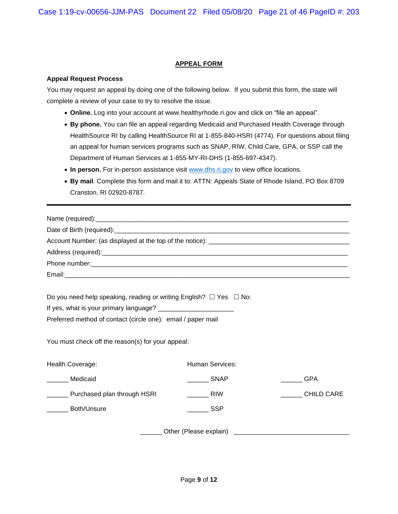## **APPEAL FORM**

### **Appeal Request Process**

You may request an appeal by doing one of the following below. If you submit this form, the state will complete a review of your case to try to resolve the issue.

- **Online.** Log into your account at www.healthyrhode.ri.gov and click on "file an appeal".
- **By phone.** You can file an appeal regarding Medicaid and Purchased Health Coverage through HealthSource RI by calling HealthSource RI at 1-855-840-HSRI (4774). For questions about filing an appeal for human services programs such as SNAP, RIW, Child Care, GPA, or SSP call the Department of Human Services at 1-855-MY-RI-DHS (1-855-697-4347).
- In person. For in-person assistance visit [www.dhs.ri.gov](http://www.dhs.ri.gov/) to view office locations.
- **By mail**. Complete this form and mail it to: ATTN: Appeals State of Rhode Island, PO Box 8709 Cranston, RI 02920-8787.

| Do you need help speaking, reading or writing English? $\Box$ Yes $\Box$ No:                                      |                        |                   |  |  |  |  |
|-------------------------------------------------------------------------------------------------------------------|------------------------|-------------------|--|--|--|--|
|                                                                                                                   |                        |                   |  |  |  |  |
| Preferred method of contact (circle one): email / paper mail<br>You must check off the reason(s) for your appeal: |                        |                   |  |  |  |  |
| Health Coverage:                                                                                                  | <b>Human Services:</b> |                   |  |  |  |  |
| Medicaid                                                                                                          | $\frac{1}{2}$ SNAP     | <b>GPA</b>        |  |  |  |  |
| Purchased plan through HSRI                                                                                       | <b>RIW</b>             | <b>CHILD CARE</b> |  |  |  |  |
| <b>Both/Unsure</b>                                                                                                | <b>Example SSP</b>     |                   |  |  |  |  |
|                                                                                                                   |                        |                   |  |  |  |  |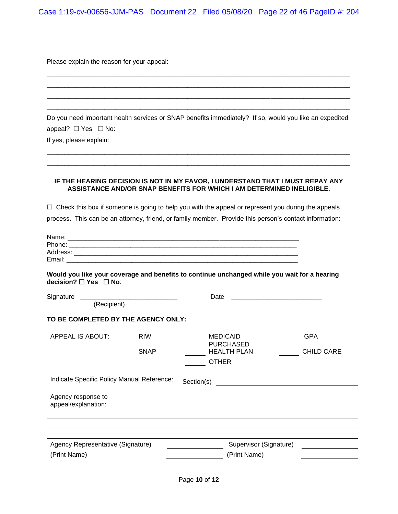Please explain the reason for your appeal:

Do you need important health services or SNAP benefits immediately? If so, would you like an expedited appeal?  $\Box$  Yes  $\Box$  No:

\_\_\_\_\_\_\_\_\_\_\_\_\_\_\_\_\_\_\_\_\_\_\_\_\_\_\_\_\_\_\_\_\_\_\_\_\_\_\_\_\_\_\_\_\_\_\_\_\_\_\_\_\_\_\_\_\_\_\_\_\_\_\_\_\_\_\_\_\_\_\_\_\_\_\_\_\_\_\_\_\_\_\_\_ \_\_\_\_\_\_\_\_\_\_\_\_\_\_\_\_\_\_\_\_\_\_\_\_\_\_\_\_\_\_\_\_\_\_\_\_\_\_\_\_\_\_\_\_\_\_\_\_\_\_\_\_\_\_\_\_\_\_\_\_\_\_\_\_\_\_\_\_\_\_\_\_\_\_\_\_\_\_\_\_\_\_\_\_

\_\_\_\_\_\_\_\_\_\_\_\_\_\_\_\_\_\_\_\_\_\_\_\_\_\_\_\_\_\_\_\_\_\_\_\_\_\_\_\_\_\_\_\_\_\_\_\_\_\_\_\_\_\_\_\_\_\_\_\_\_\_\_\_\_\_\_\_\_\_\_\_\_\_\_\_\_\_\_\_\_\_\_\_ \_\_\_\_\_\_\_\_\_\_\_\_\_\_\_\_\_\_\_\_\_\_\_\_\_\_\_\_\_\_\_\_\_\_\_\_\_\_\_\_\_\_\_\_\_\_\_\_\_\_\_\_\_\_\_\_\_\_\_\_\_\_\_\_\_\_\_\_\_\_\_\_\_\_\_\_\_\_\_\_\_\_\_\_ \_\_\_\_\_\_\_\_\_\_\_\_\_\_\_\_\_\_\_\_\_\_\_\_\_\_\_\_\_\_\_\_\_\_\_\_\_\_\_\_\_\_\_\_\_\_\_\_\_\_\_\_\_\_\_\_\_\_\_\_\_\_\_\_\_\_\_\_\_\_\_\_\_\_\_\_\_\_\_\_\_\_\_\_ \_\_\_\_\_\_\_\_\_\_\_\_\_\_\_\_\_\_\_\_\_\_\_\_\_\_\_\_\_\_\_\_\_\_\_\_\_\_\_\_\_\_\_\_\_\_\_\_\_\_\_\_\_\_\_\_\_\_\_\_\_\_\_\_\_\_\_\_\_\_\_\_\_\_\_\_\_\_\_\_\_\_\_\_

If yes, please explain:

#### **IF THE HEARING DECISION IS NOT IN MY FAVOR, I UNDERSTAND THAT I MUST REPAY ANY ASSISTANCE AND/OR SNAP BENEFITS FOR WHICH I AM DETERMINED INELIGIBLE.**

 $\Box$  Check this box if someone is going to help you with the appeal or represent you during the appeals

process. This can be an attorney, friend, or family member. Provide this person's contact information:

| Name:    |  |
|----------|--|
| Phone:   |  |
| Address: |  |
| Email:   |  |

**Would you like your coverage and benefits to continue unchanged while you wait for a hearing decision?** □ Yes □ No:

| Signature<br>(Recipient)                   |                           | Date                                                                      |                                                                                                                      |
|--------------------------------------------|---------------------------|---------------------------------------------------------------------------|----------------------------------------------------------------------------------------------------------------------|
| TO BE COMPLETED BY THE AGENCY ONLY:        |                           |                                                                           |                                                                                                                      |
| APPEAL IS ABOUT:                           | <b>RIW</b><br><b>SNAP</b> | <b>MEDICAID</b><br><b>PURCHASED</b><br><b>HEALTH PLAN</b><br><b>OTHER</b> | <b>GPA</b><br><b>CHILD CARE</b>                                                                                      |
| Indicate Specific Policy Manual Reference: |                           | Section(s)                                                                | <u> 1989 - John Stein, mars and de final and de final and de final and de final and de final and de final and de</u> |
| Agency response to<br>appeal/explanation:  |                           |                                                                           |                                                                                                                      |
|                                            |                           |                                                                           |                                                                                                                      |
|                                            |                           |                                                                           |                                                                                                                      |
| Agency Representative (Signature)          |                           | Supervisor (Signature)                                                    |                                                                                                                      |
| (Print Name)                               |                           | (Print Name)                                                              |                                                                                                                      |
|                                            |                           |                                                                           |                                                                                                                      |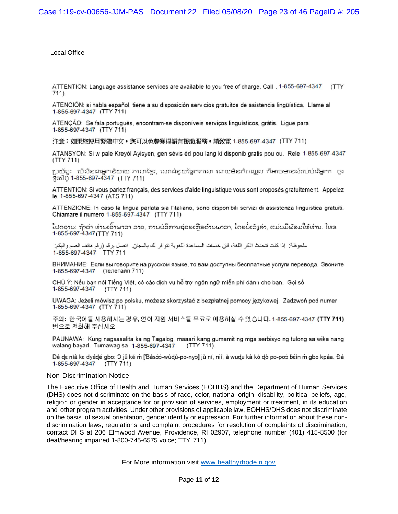Local Office

ATTENTION: Language assistance services are available to you free of charge. Call . 1-855-697-4347 (TTY  $711$ ).

ATENCIÓN: si habla español, tiene a su disposición servicios gratuitos de asistencia lingüística. Llame al 1-855-697-4347 (TTY 711)

ATENÇÃO: Se fala português, encontram-se disponíveis serviços linguísticos, grátis. Ligue para 1-855-697-4347 (TTY 711)

注意:如果您使用繁體中文,您可以免費獲得語言援助服務。請致電 1-855-697-4347(TTY 711)

ATANSYON: Si w pale Kreyòl Ayisyen, gen sèvis èd pou lang ki disponib gratis pou ou. Rele 1-855-697-4347  $(TTY 711)$ 

ប្រយ័ត្ន៖ បើសិនងាអ្នកនិយាយ ភាសាខែ្មរ, សេវាជំនួយផ្នែកភាសា ដោយមិនកិតឈ្លួល ក៏អាចមានសំរាប់បំរើអ្នក។ ចូរ ទូរស័ព្ទ 1-855-697-4347 (TTY 711)

ATTENTION: Si vous parlez français, des services d'aide linguistique vous sont proposés gratuitement. Appelez le 1-855-697-4347 (ATS 711)

ATTENZIONE: In caso la lingua parlata sia l'italiano, sono disponibili servizi di assistenza linguistica gratuiti. Chiamare il numero 1-855-697-4347 (TTY 711)

ໂປດຊາບ: ຖ້າວ່າ ທ່ານເວົ້າພາສາ ລາວ, ການບໍລິການຊ່ວຍເຫືອດ້ານພາສາ, ໂດຍບໍ່ເສັງຄ່າ, ແມ່ນມີພ້ອມໃຫ້ທ່ານ. ໂທຣ 1-855-697-4347 (TTY 711)

ملحوظة: إذا كنت تتحدث اذكر اللغة، فإن خدمات المساعدة اللغوية تتوافر لك بالمجان. اتصل برقم (رقم هاتف الصم والبكم: 1-855-697-4347 TTY 711

ВНИМАНИЕ: Если вы говорите на русском языке, то вам доступны бесплатные услуги перевода. Звоните 1-855-697-4347 (телетайп 711)

CHÚ Ý: Nếu bạn nói Tiếng Việt, có các dịch vụ hỗ trợ ngôn ngữ miễn phí dành cho bạn. Gọi số 1-855-697-4347  $(TTY 711)$ 

UWAGA: Jeżeli mówisz po polsku, możesz skorzystać z bezpłatnej pomocy językowej. Zadzwoń pod numer 1-855-697-4347 (TTY 711)

주의: 한국어를 사용하시는 경우, 언어 지원 서비스를 무료로 이용하실 수 있습니다. 1-855-697-4347 (TTY 711) 번으로 전화해 주십시오.

PAUNAWA: Kung nagsasalita ka ng Tagalog, maaari kang gumamit ng mga serbisyo ng tulong sa wika nang walang bayad. Tumawag sa 1-855-697-4347 (TTY 711).

Dè dɛ nìà kɛ dyédé gbo: O jǔ ké ṁ [Ɓàsɔ́ɔ-wùdù-po-nyɔ̀] jǔ ní, nìí, à wudu kà kò dò po-poɔ̀ ɓɛ́ìn ṁ gbo kpáa. Đá 1-855-697-4347 (TTY 711)

#### Non-Discrimination Notice

The Executive Office of Health and Human Services (EOHHS) and the Department of Human Services (DHS) does not discriminate on the basis of race, color, national origin, disability, political beliefs, age, religion or gender in acceptance for or provision of services, employment or treatment, in its education and other program activities. Under other provisions of applicable law, EOHHS/DHS does not discriminate on the basis of sexual orientation, gender identity or expression. For further information about these nondiscrimination laws, regulations and complaint procedures for resolution of complaints of discrimination, contact DHS at 206 Elmwood Avenue, Providence, RI 02907, telephone number (401) 415-8500 (for deaf/hearing impaired 1-800-745-6575 voice; TTY 711).

For More information visit [www.healthyrhode.ri.gov](http://www.healthyrhode.ri.gov/)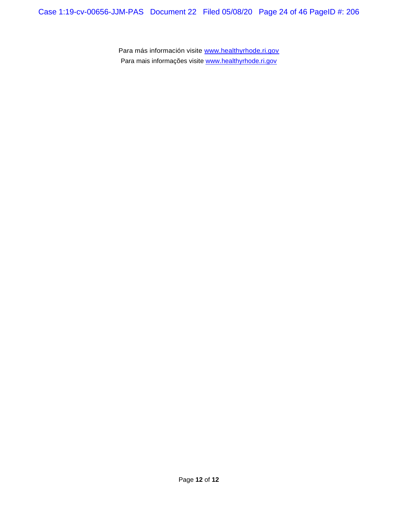Para más información visite [www.healthyrhode.ri.gov](http://www.healthyrhode.ri.gov/) Para mais informações visite [www.healthyrhode.ri.gov](http://www.healthyrhode.ri.gov/)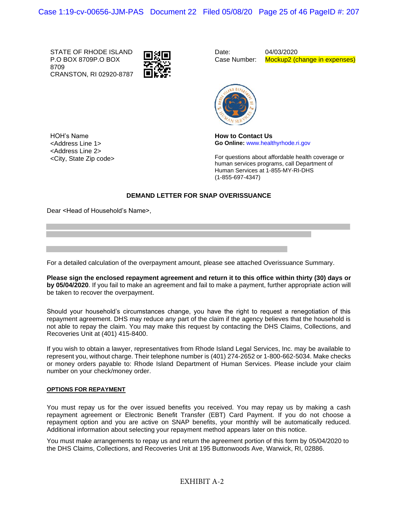STATE OF RHODE ISLAND P.O BOX 8709P.O BOX 8709 CRANSTON, RI 02920-8787



Date: Case Number:

04/03/2020 Mockup2 (change in expenses)



HOH's Name <Address Line 1> <Address Line 2> <City, State Zip code> **How to Contact Us Go Online:** www.healthyrhode.ri.gov

For questions about affordable health coverage or human services programs, call Department of Human Services at 1-855-MY-RI-DHS (1-855-697-4347)

## **DEMAND LETTER FOR SNAP OVERISSUANCE**

Dear <Head of Household's Name>,

For a detailed calculation of the overpayment amount, please see attached Overissuance Summary.

**Please sign the enclosed repayment agreement and return it to this office within thirty (30) days or by 05/04/2020**. If you fail to make an agreement and fail to make a payment, further appropriate action will be taken to recover the overpayment.

Should your household's circumstances change, you have the right to request a renegotiation of this repayment agreement. DHS may reduce any part of the claim if the agency believes that the household is not able to repay the claim. You may make this request by contacting the DHS Claims, Collections, and Recoveries Unit at (401) 415-8400.

If you wish to obtain a lawyer, representatives from Rhode Island Legal Services, Inc. may be available to represent you, without charge. Their telephone number is (401) 274-2652 or 1-800-662-5034. Make checks or money orders payable to: Rhode Island Department of Human Services. Please include your claim number on your check/money order.

#### **OPTIONS FOR REPAYMENT**

You must repay us for the over issued benefits you received. You may repay us by making a cash repayment agreement or Electronic Benefit Transfer (EBT) Card Payment. If you do not choose a repayment option and you are active on SNAP benefits, your monthly will be automatically reduced. Additional information about selecting your repayment method appears later on this notice.

You must make arrangements to repay us and return the agreement portion of this form by 05/04/2020 to the DHS Claims, Collections, and Recoveries Unit at 195 Buttonwoods Ave, Warwick, RI, 02886.

## EXHIBIT A-2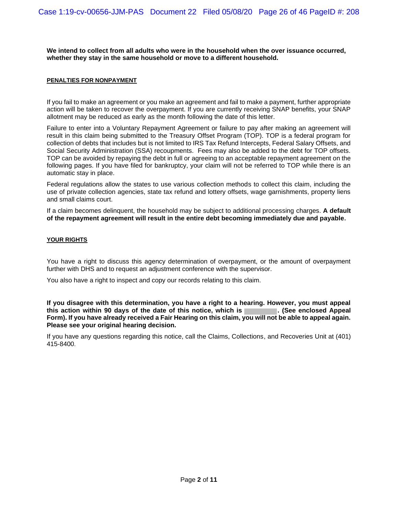**We intend to collect from all adults who were in the household when the over issuance occurred, whether they stay in the same household or move to a different household.**

#### **PENALTIES FOR NONPAYMENT**

If you fail to make an agreement or you make an agreement and fail to make a payment, further appropriate action will be taken to recover the overpayment. If you are currently receiving SNAP benefits, your SNAP allotment may be reduced as early as the month following the date of this letter.

Failure to enter into a Voluntary Repayment Agreement or failure to pay after making an agreement will result in this claim being submitted to the Treasury Offset Program (TOP). TOP is a federal program for collection of debts that includes but is not limited to IRS Tax Refund Intercepts, Federal Salary Offsets, and Social Security Administration (SSA) recoupments. Fees may also be added to the debt for TOP offsets. TOP can be avoided by repaying the debt in full or agreeing to an acceptable repayment agreement on the following pages. If you have filed for bankruptcy, your claim will not be referred to TOP while there is an automatic stay in place.

Federal regulations allow the states to use various collection methods to collect this claim, including the use of private collection agencies, state tax refund and lottery offsets, wage garnishments, property liens and small claims court.

If a claim becomes delinquent, the household may be subject to additional processing charges. **A default of the repayment agreement will result in the entire debt becoming immediately due and payable.**

#### **YOUR RIGHTS**

You have a right to discuss this agency determination of overpayment, or the amount of overpayment further with DHS and to request an adjustment conference with the supervisor.

You also have a right to inspect and copy our records relating to this claim.

**If you disagree with this determination, you have a right to a hearing. However, you must appeal** this action within 90 days of the date of this notice, which is **Form). If you have already received a Fair Hearing on this claim, you will not be able to appeal again. Please see your original hearing decision.**

If you have any questions regarding this notice, call the Claims, Collections, and Recoveries Unit at (401) 415-8400.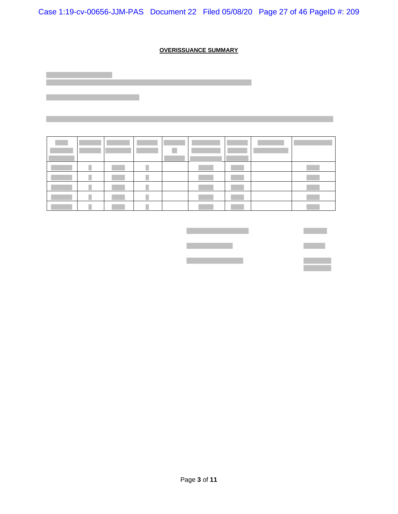Case 1:19-cv-00656-JJM-PAS Document 22 Filed 05/08/20 Page 27 of 46 PageID #: 209

## **OVERISSUANCE SUMMARY**



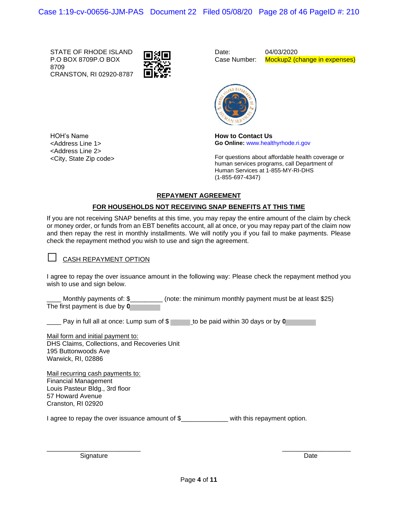STATE OF RHODE ISLAND P.O BOX 8709P.O BOX 8709 CRANSTON, RI 02920-8787

HOH's Name <Address Line 1> <Address Line 2> <City, State Zip code>



Date: Case Number: 04/03/2020 Mockup2 (change in expenses)



**How to Contact Us Go Online:** www.healthyrhode.ri.gov

For questions about affordable health coverage or human services programs, call Department of Human Services at 1-855-MY-RI-DHS (1-855-697-4347)

## **REPAYMENT AGREEMENT**

## **FOR HOUSEHOLDS NOT RECEIVING SNAP BENEFITS AT THIS TIME**

If you are not receiving SNAP benefits at this time, you may repay the entire amount of the claim by check or money order, or funds from an EBT benefits account, all at once, or you may repay part of the claim now and then repay the rest in monthly installments. We will notify you if you fail to make payments. Please check the repayment method you wish to use and sign the agreement.

## **□** CASH REPAYMENT OPTION

I agree to repay the over issuance amount in the following way: Please check the repayment method you wish to use and sign below.

Monthly payments of: \$\_\_\_\_\_\_\_\_\_\_ (note: the minimum monthly payment must be at least \$25) The first payment is due by **0**

Pay in full all at once: Lump sum of \$ to be paid within 30 days or by **0** 

Mail form and initial payment to: DHS Claims, Collections, and Recoveries Unit 195 Buttonwoods Ave Warwick, RI, 02886

Mail recurring cash payments to: Financial Management Louis Pasteur Bldg., 3rd floor 57 Howard Avenue Cranston, RI 02920

I agree to repay the over issuance amount of \$ with this repayment option.

Signature Date Date of the Date of the Date of the Date of the Date of the Date of the Date of the Date of the Date of the Date of the Date of the Date of the Date of the Date of the Date of the Date of the Date of the Dat

 $\frac{1}{2}$  ,  $\frac{1}{2}$  ,  $\frac{1}{2}$  ,  $\frac{1}{2}$  ,  $\frac{1}{2}$  ,  $\frac{1}{2}$  ,  $\frac{1}{2}$  ,  $\frac{1}{2}$  ,  $\frac{1}{2}$  ,  $\frac{1}{2}$  ,  $\frac{1}{2}$  ,  $\frac{1}{2}$  ,  $\frac{1}{2}$  ,  $\frac{1}{2}$  ,  $\frac{1}{2}$  ,  $\frac{1}{2}$  ,  $\frac{1}{2}$  ,  $\frac{1}{2}$  ,  $\frac{1$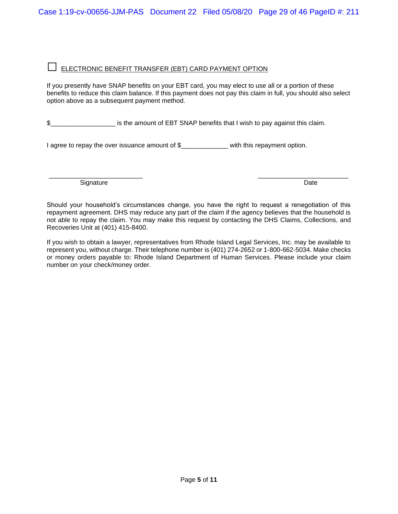# **□** ELECTRONIC BENEFIT TRANSFER (EBT) CARD PAYMENT OPTION

If you presently have SNAP benefits on your EBT card, you may elect to use all or a portion of these benefits to reduce this claim balance. If this payment does not pay this claim in full, you should also select option above as a subsequent payment method.

\$ second is the amount of EBT SNAP benefits that I wish to pay against this claim.

I agree to repay the over issuance amount of \$ with this repayment option.

\_\_\_\_\_\_\_\_\_\_\_\_\_\_\_\_\_\_\_\_\_\_\_\_\_\_ \_\_\_\_\_\_\_\_\_\_\_\_\_\_\_\_\_\_\_\_\_\_\_\_\_ Signature Date **Date** 

Should your household's circumstances change, you have the right to request a renegotiation of this repayment agreement. DHS may reduce any part of the claim if the agency believes that the household is not able to repay the claim. You may make this request by contacting the DHS Claims, Collections, and Recoveries Unit at (401) 415-8400.

If you wish to obtain a lawyer, representatives from Rhode Island Legal Services, Inc. may be available to represent you, without charge. Their telephone number is (401) 274-2652 or 1-800-662-5034. Make checks or money orders payable to: Rhode Island Department of Human Services. Please include your claim number on your check/money order.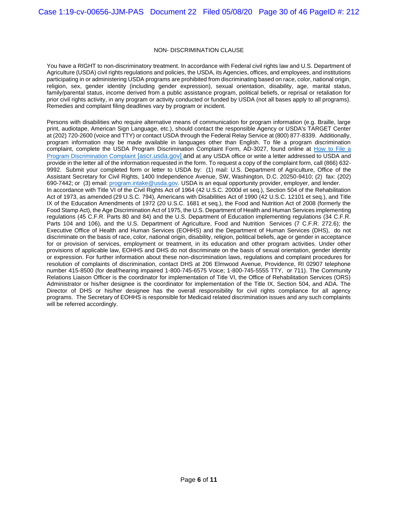#### NON- DISCRIMINATION CLAUSE

You have a RIGHT to non-discriminatory treatment. In accordance with Federal civil rights law and U.S. Department of Agriculture (USDA) civil rights regulations and policies, the USDA, its Agencies, offices, and employees, and institutions participating in or administering USDA programs are prohibited from discriminating based on race, color, national origin, religion, sex, gender identity (including gender expression), sexual orientation, disability, age, marital status, family/parental status, income derived from a public assistance program, political beliefs, or reprisal or retaliation for prior civil rights activity, in any program or activity conducted or funded by USDA (not all bases apply to all programs). Remedies and complaint filing deadlines vary by program or incident.

Persons with disabilities who require alternative means of communication for program information (e.g. Braille, large print, audiotape, American Sign Language, etc.), should contact the responsible Agency or USDA's TARGET Center at (202) 720-2600 (voice and TTY) or contact USDA through the Federal Relay Service at (800) 877-8339. Additionally, program information may be made available in languages other than English. To file a program discrimination complaint, complete the USDA Program Discrimination Complaint Form, AD-3027, found online at [How to File a](https://urldefense.proofpoint.com/v2/url?u=https-3A__www.ascr.usda.gov_how-2Dfile-2Dprogram-2Ddiscrimination-2Dcomplaint&d=DwMFAg&c=tSLbvWYfvulPN3G_n48TUw&r=Os9tapDaH2o-oc7UGo-6pqmGllvV2ROavh41kMx3JTA&m=VUePJeRPFuBMghttFNN53Ax-t0aiWCW9D5o0UmxDOvQ&s=eCdHoFMyMx7fZipY4rgfoyVK3zlsNOlZKN2kc4E6R4Y&e=)  [Program Discrimination Complaint](https://urldefense.proofpoint.com/v2/url?u=https-3A__www.ascr.usda.gov_how-2Dfile-2Dprogram-2Ddiscrimination-2Dcomplaint&d=DwMFAg&c=tSLbvWYfvulPN3G_n48TUw&r=Os9tapDaH2o-oc7UGo-6pqmGllvV2ROavh41kMx3JTA&m=VUePJeRPFuBMghttFNN53Ax-t0aiWCW9D5o0UmxDOvQ&s=eCdHoFMyMx7fZipY4rgfoyVK3zlsNOlZKN2kc4E6R4Y&e=) [ascr.usda.gov] and at any USDA office or write a letter addressed to USDA and provide in the letter all of the information requested in the form. To request a copy of the complaint form, call (866) 632- 9992. Submit your completed form or letter to USDA by: (1) mail: U.S. Department of Agriculture, Office of the Assistant Secretary for Civil Rights, 1400 Independence Avenue, SW, Washington, D.C. 20250-9410; (2) fax: (202) 690-7442; or (3) email: [program.intake@usda.gov.](mailto:program.intake@usda.gov) USDA is an equal opportunity provider, employer, and lender. In accordance with Title VI of the Civil Rights Act of 1964 (42 U.S.C. 2000d et seq.), Section 504 of the Rehabilitation Act of 1973, as amended (29 U.S.C. 794), Americans with Disabilities Act of 1990 (42 U.S.C. 12101 et seq.), and Title IX of the Education Amendments of 1972 (20 U.S.C. 1681 et seq.), the Food and Nutrition Act of 2008 (formerly the Food Stamp Act), the Age Discrimination Act of 1975, the U.S. Department of Health and Human Services implementing regulations (45 C.F.R. Parts 80 and 84) and the U.S. Department of Education implementing regulations (34 C.F.R. Parts 104 and 106), and the U.S. Department of Agriculture, Food and Nutrition Services (7 C.F.R. 272.6); the Executive Office of Health and Human Services (EOHHS) and the Department of Human Services (DHS), do not discriminate on the basis of race, color, national origin, disability, religion, political beliefs, age or gender in acceptance for or provision of services, employment or treatment, in its education and other program activities. Under other provisions of applicable law, EOHHS and DHS do not discriminate on the basis of sexual orientation, gender identity or expression. For further information about these non-discrimination laws, regulations and complaint procedures for resolution of complaints of discrimination, contact DHS at 206 Elmwood Avenue, Providence, RI 02907 telephone number 415-8500 (for deaf/hearing impaired 1-800-745-6575 Voice; 1-800-745-5555 TTY, or 711). The Community Relations Liaison Officer is the coordinator for implementation of Title VI, the Office of Rehabilitation Services (ORS) Administrator or his/her designee is the coordinator for implementation of the Title IX, Section 504, and ADA. The Director of DHS or his/her designee has the overall responsibility for civil rights compliance for all agency programs. The Secretary of EOHHS is responsible for Medicaid related discrimination issues and any such complaints will be referred accordingly.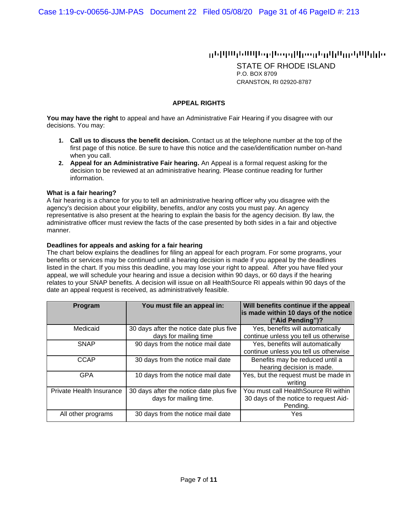## ոնիկ Արևեն Արիզայի կրողիկը կրանիկներ

STATE OF RHODE ISLAND P.O. BOX 8709 CRANSTON, RI 02920-8787

## **APPEAL RIGHTS**

**You may have the right** to appeal and have an Administrative Fair Hearing if you disagree with our decisions. You may:

- **1. Call us to discuss the benefit decision.** Contact us at the telephone number at the top of the first page of this notice. Be sure to have this notice and the case/identification number on-hand when you call.
- **2. Appeal for an Administrative Fair hearing.** An Appeal is a formal request asking for the decision to be reviewed at an administrative hearing. Please continue reading for further information.

### **What is a fair hearing?**

A fair hearing is a chance for you to tell an administrative hearing officer why you disagree with the agency's decision about your eligibility, benefits, and/or any costs you must pay. An agency representative is also present at the hearing to explain the basis for the agency decision. By law, the administrative officer must review the facts of the case presented by both sides in a fair and objective manner.

### **Deadlines for appeals and asking for a fair hearing**

The chart below explains the deadlines for filing an appeal for each program. For some programs, your benefits or services may be continued until a hearing decision is made if you appeal by the deadlines listed in the chart. If you miss this deadline, you may lose your right to appeal. After you have filed your appeal, we will schedule your hearing and issue a decision within 90 days, or 60 days if the hearing relates to your SNAP benefits. A decision will issue on all HealthSource RI appeals within 90 days of the date an appeal request is received, as administratively feasible.

| <b>Program</b>           | You must file an appeal in:                                       | Will benefits continue if the appeal<br>is made within 10 days of the notice<br>("Aid Pending")? |
|--------------------------|-------------------------------------------------------------------|--------------------------------------------------------------------------------------------------|
| Medicaid                 | 30 days after the notice date plus five<br>days for mailing time  | Yes, benefits will automatically<br>continue unless you tell us otherwise                        |
| <b>SNAP</b>              | 90 days from the notice mail date                                 | Yes, benefits will automatically<br>continue unless you tell us otherwise                        |
| <b>CCAP</b>              | 30 days from the notice mail date                                 | Benefits may be reduced until a<br>hearing decision is made.                                     |
| GPA                      | 10 days from the notice mail date                                 | Yes, but the request must be made in<br>writing                                                  |
| Private Health Insurance | 30 days after the notice date plus five<br>days for mailing time. | You must call HealthSource RI within<br>30 days of the notice to request Aid-<br>Pending.        |
| All other programs       | 30 days from the notice mail date                                 | Yes                                                                                              |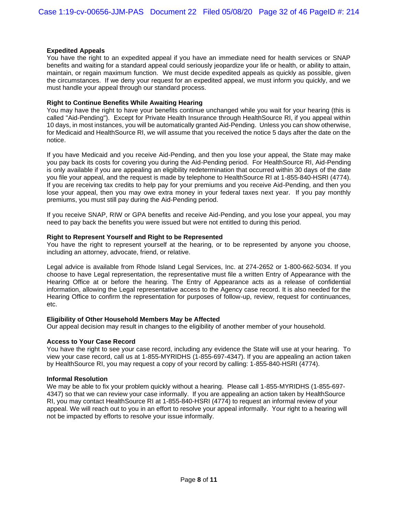### **Expedited Appeals**

You have the right to an expedited appeal if you have an immediate need for health services or SNAP benefits and waiting for a standard appeal could seriously jeopardize your life or health, or ability to attain, maintain, or regain maximum function. We must decide expedited appeals as quickly as possible, given the circumstances. If we deny your request for an expedited appeal, we must inform you quickly, and we must handle your appeal through our standard process.

#### **Right to Continue Benefits While Awaiting Hearing**

You may have the right to have your benefits continue unchanged while you wait for your hearing (this is called "Aid-Pending"). Except for Private Health Insurance through HealthSource RI, if you appeal within 10 days, in most instances, you will be automatically granted Aid-Pending. Unless you can show otherwise, for Medicaid and HealthSource RI, we will assume that you received the notice 5 days after the date on the notice.

If you have Medicaid and you receive Aid-Pending, and then you lose your appeal, the State may make you pay back its costs for covering you during the Aid-Pending period. For HealthSource RI, Aid-Pending is only available if you are appealing an eligibility redetermination that occurred within 30 days of the date you file your appeal, and the request is made by telephone to HealthSource RI at 1-855-840-HSRI (4774). If you are receiving tax credits to help pay for your premiums and you receive Aid-Pending, and then you lose your appeal, then you may owe extra money in your federal taxes next year. If you pay monthly premiums, you must still pay during the Aid-Pending period.

If you receive SNAP, RIW or GPA benefits and receive Aid-Pending, and you lose your appeal, you may need to pay back the benefits you were issued but were not entitled to during this period.

#### **Right to Represent Yourself and Right to be Represented**

You have the right to represent yourself at the hearing, or to be represented by anyone you choose, including an attorney, advocate, friend, or relative.

Legal advice is available from Rhode Island Legal Services, Inc. at 274-2652 or 1-800-662-5034. If you choose to have Legal representation, the representative must file a written Entry of Appearance with the Hearing Office at or before the hearing. The Entry of Appearance acts as a release of confidential information, allowing the Legal representative access to the Agency case record. It is also needed for the Hearing Office to confirm the representation for purposes of follow-up, review, request for continuances, etc.

#### **Eligibility of Other Household Members May be Affected**

Our appeal decision may result in changes to the eligibility of another member of your household.

### **Access to Your Case Record**

You have the right to see your case record, including any evidence the State will use at your hearing. To view your case record, call us at 1-855-MYRIDHS (1-855-697-4347). If you are appealing an action taken by HealthSource RI, you may request a copy of your record by calling: 1-855-840-HSRI (4774).

### **Informal Resolution**

We may be able to fix your problem quickly without a hearing. Please call 1-855-MYRIDHS (1-855-697-4347) so that we can review your case informally. If you are appealing an action taken by HealthSource RI, you may contact HealthSource RI at 1-855-840-HSRI (4774) to request an informal review of your appeal. We will reach out to you in an effort to resolve your appeal informally. Your right to a hearing will not be impacted by efforts to resolve your issue informally.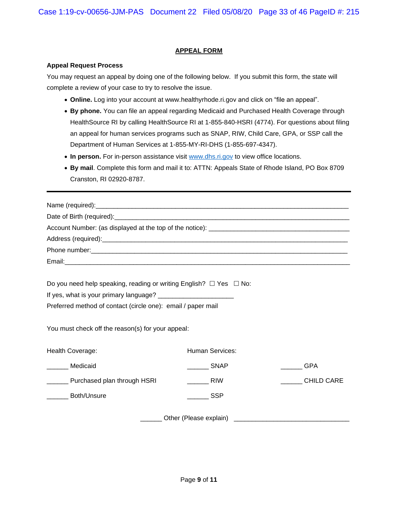## **APPEAL FORM**

### **Appeal Request Process**

You may request an appeal by doing one of the following below. If you submit this form, the state will complete a review of your case to try to resolve the issue.

- **Online.** Log into your account at www.healthyrhode.ri.gov and click on "file an appeal".
- **By phone.** You can file an appeal regarding Medicaid and Purchased Health Coverage through HealthSource RI by calling HealthSource RI at 1-855-840-HSRI (4774). For questions about filing an appeal for human services programs such as SNAP, RIW, Child Care, GPA, or SSP call the Department of Human Services at 1-855-MY-RI-DHS (1-855-697-4347).
- In person. For in-person assistance visit [www.dhs.ri.gov](http://www.dhs.ri.gov/) to view office locations.
- **By mail**. Complete this form and mail it to: ATTN: Appeals State of Rhode Island, PO Box 8709 Cranston, RI 02920-8787.

| Do you need help speaking, reading or writing English? $\Box$ Yes $\Box$ No: |                   |                   |  |  |  |
|------------------------------------------------------------------------------|-------------------|-------------------|--|--|--|
|                                                                              |                   |                   |  |  |  |
| Preferred method of contact (circle one): email / paper mail                 |                   |                   |  |  |  |
| You must check off the reason(s) for your appeal:                            |                   |                   |  |  |  |
| Health Coverage:                                                             | Human Services:   |                   |  |  |  |
| Medicaid                                                                     | <b>SNAP</b>       | <b>GPA</b>        |  |  |  |
| ________ Purchased plan through HSRI                                         | $\frac{1}{2}$ RIW | <b>CHILD CARE</b> |  |  |  |
| <b>Both/Unsure</b>                                                           | in SSP            |                   |  |  |  |
|                                                                              |                   |                   |  |  |  |

\_\_\_\_\_\_ Other (Please explain) \_\_\_\_\_\_\_\_\_\_\_\_\_\_\_\_\_\_\_\_\_\_\_\_\_\_\_\_\_\_\_\_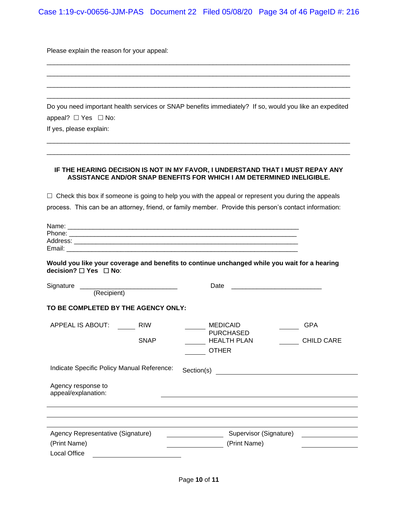Case 1:19-cv-00656-JJM-PAS Document 22 Filed 05/08/20 Page 34 of 46 PageID #: 216

Please explain the reason for your appeal:

Do you need important health services or SNAP benefits immediately? If so, would you like an expedited appeal?  $\Box$  Yes  $\Box$  No:

\_\_\_\_\_\_\_\_\_\_\_\_\_\_\_\_\_\_\_\_\_\_\_\_\_\_\_\_\_\_\_\_\_\_\_\_\_\_\_\_\_\_\_\_\_\_\_\_\_\_\_\_\_\_\_\_\_\_\_\_\_\_\_\_\_\_\_\_\_\_\_\_\_\_\_\_\_\_\_\_\_\_\_\_ \_\_\_\_\_\_\_\_\_\_\_\_\_\_\_\_\_\_\_\_\_\_\_\_\_\_\_\_\_\_\_\_\_\_\_\_\_\_\_\_\_\_\_\_\_\_\_\_\_\_\_\_\_\_\_\_\_\_\_\_\_\_\_\_\_\_\_\_\_\_\_\_\_\_\_\_\_\_\_\_\_\_\_\_

\_\_\_\_\_\_\_\_\_\_\_\_\_\_\_\_\_\_\_\_\_\_\_\_\_\_\_\_\_\_\_\_\_\_\_\_\_\_\_\_\_\_\_\_\_\_\_\_\_\_\_\_\_\_\_\_\_\_\_\_\_\_\_\_\_\_\_\_\_\_\_\_\_\_\_\_\_\_\_\_\_\_\_\_ \_\_\_\_\_\_\_\_\_\_\_\_\_\_\_\_\_\_\_\_\_\_\_\_\_\_\_\_\_\_\_\_\_\_\_\_\_\_\_\_\_\_\_\_\_\_\_\_\_\_\_\_\_\_\_\_\_\_\_\_\_\_\_\_\_\_\_\_\_\_\_\_\_\_\_\_\_\_\_\_\_\_\_\_ \_\_\_\_\_\_\_\_\_\_\_\_\_\_\_\_\_\_\_\_\_\_\_\_\_\_\_\_\_\_\_\_\_\_\_\_\_\_\_\_\_\_\_\_\_\_\_\_\_\_\_\_\_\_\_\_\_\_\_\_\_\_\_\_\_\_\_\_\_\_\_\_\_\_\_\_\_\_\_\_\_\_\_\_ \_\_\_\_\_\_\_\_\_\_\_\_\_\_\_\_\_\_\_\_\_\_\_\_\_\_\_\_\_\_\_\_\_\_\_\_\_\_\_\_\_\_\_\_\_\_\_\_\_\_\_\_\_\_\_\_\_\_\_\_\_\_\_\_\_\_\_\_\_\_\_\_\_\_\_\_\_\_\_\_\_\_\_\_

If yes, please explain:

#### **IF THE HEARING DECISION IS NOT IN MY FAVOR, I UNDERSTAND THAT I MUST REPAY ANY ASSISTANCE AND/OR SNAP BENEFITS FOR WHICH I AM DETERMINED INELIGIBLE.**

 $\Box$  Check this box if someone is going to help you with the appeal or represent you during the appeals process. This can be an attorney, friend, or family member. Provide this person's contact information:

| Name:    |  |
|----------|--|
| Phone:   |  |
| Address: |  |
| Email:   |  |

**Would you like your coverage and benefits to continue unchanged while you wait for a hearing decision?** □ Yes □ No:

| Signature                                         |                           | Date                                                                      |                                 |  |  |  |
|---------------------------------------------------|---------------------------|---------------------------------------------------------------------------|---------------------------------|--|--|--|
| (Recipient)                                       |                           |                                                                           |                                 |  |  |  |
| TO BE COMPLETED BY THE AGENCY ONLY:               |                           |                                                                           |                                 |  |  |  |
| APPEAL IS ABOUT:                                  | <b>RIW</b><br><b>SNAP</b> | <b>MEDICAID</b><br><b>PURCHASED</b><br><b>HEALTH PLAN</b><br><b>OTHER</b> | <b>GPA</b><br><b>CHILD CARE</b> |  |  |  |
| Indicate Specific Policy Manual Reference:        |                           | Section(s)                                                                |                                 |  |  |  |
| Agency response to<br>appeal/explanation:         |                           |                                                                           |                                 |  |  |  |
|                                                   |                           |                                                                           |                                 |  |  |  |
| Agency Representative (Signature)<br>(Print Name) |                           | Supervisor (Signature)<br>(Print Name)                                    |                                 |  |  |  |
| Local Office                                      |                           |                                                                           |                                 |  |  |  |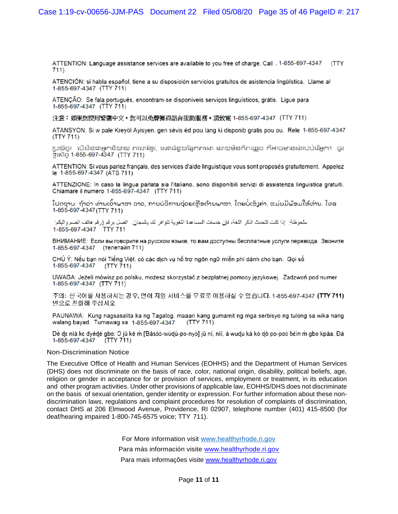ATTENTION: Language assistance services are available to you free of charge. Call . 1-855-697-4347 (TTY 711).

ATENCIÓN: si habla español, tiene a su disposición servicios gratuitos de asistencia lingüística. Llame al 1-855-697-4347 (TTY 711)

ATENÇÃO: Se fala português, encontram-se disponíveis serviços linguísticos, grátis. Ligue para 1-855-697-4347 (TTY 711)

注意:如果您使用繁體中文,您可以免費獲得語言援助服務。請致電 1-855-697-4347(TTY 711)

ATANSYON: Si w pale Kreyol Ayisyen, gen sèvis èd pou lang ki disponib gratis pou ou. Rele 1-855-697-4347  $(TTY 711)$ 

ប្រយ័ត្ន៖ បើសិនងាអ្នកនិយាយ ភាសាខែ្មរ, សេវាជំនួយផ្នែកភាសា ដោយមិនគិតឈ្លួល គឺអាចមានសំរាប់បំរើអ្នក។ ចូរ ទូរស័ព្ទ 1-855-697-4347 (TTY 711)

ATTENTION: Si vous parlez français, des services d'aide linguistique vous sont proposés gratuitement. Appelez le 1-855-697-4347 (ATS 711)

ATTENZIONE: In caso la lingua parlata sia l'italiano, sono disponibili servizi di assistenza linguistica gratuiti. Chiamare il numero 1-855-697-4347 (TTY 711)

ໂປດຊາບ: ຖ້າວ່າ ທ່ານເວົ້າພາສາ ລາວ, ການບໍລິການຊ່ວຍເຫຼືອດ້ານພາສາ, ໂດຍບໍ່ເສັງຄ່າ, ແມ່ນມີພ້ອມໃຫ້ທ່ານ. ໂທຣ 1-855-697-4347 (TTY 711)

ملحوظة: إذا كنت تتحدث اذكر اللغة، فإن خدمات المساعدة اللغوية تتوافر لك بالمجان. اتصل برقم (رقم هاتف الصم والبكم: 1-855-697-4347 TTY 711

ВНИМАНИЕ: Если вы говорите на русском языке, то вам доступны бесплатные услуги перевода. Звоните 1-855-697-4347 (телетайп 711)

CHÚ Ý: Nếu bạn nói Tiếng Việt, có các dịch vụ hỗ trợ ngôn ngữ miễn phí dành cho bạn. Gọi số 1-855-697-4347  $(TTY 711)$ 

UWAGA: Jeżeli mówisz po polsku, możesz skorzystać z bezpłatnej pomocy językowej. Zadzwoń pod numer 1-855-697-4347 (TTY 711)

주의: 한국어를 사용하시는 경우, 언어 지원 서비스를 무료로 이용하실 수 있습니다. 1-855-697-4347 (TTY 711) 번으로 전화해 주십시오.

PAUNAWA: Kung nagsasalita ka ng Tagalog, maaari kang gumamit ng mga serbisyo ng tulong sa wika nang walang bayad. Tumawag sa 1-855-697-4347 (TTY 711).

Dè dɛ nìà kɛ dyédé gbo: O jǔ ké ṁ [Ɓàsóò-wùḍù-po-nyò] jǔ ní, nìí, à wuḍu kà kò ḍò po-poò ɓɛ́ìn ṁ gbo kpáa. Đá 1-855-697-4347 (TTY 711)

#### Non-Discrimination Notice

The Executive Office of Health and Human Services (EOHHS) and the Department of Human Services (DHS) does not discriminate on the basis of race, color, national origin, disability, political beliefs, age, religion or gender in acceptance for or provision of services, employment or treatment, in its education and other program activities. Under other provisions of applicable law, EOHHS/DHS does not discriminate on the basis of sexual orientation, gender identity or expression. For further information about these nondiscrimination laws, regulations and complaint procedures for resolution of complaints of discrimination, contact DHS at 206 Elmwood Avenue, Providence, RI 02907, telephone number (401) 415-8500 (for deaf/hearing impaired 1-800-745-6575 voice; TTY 711).

> For More information visit [www.healthyrhode.ri.gov](http://www.healthyrhode.ri.gov/) Para más información visite [www.healthyrhode.ri.gov](http://www.healthyrhode.ri.gov/) Para mais informações visite [www.healthyrhode.ri.gov](http://www.healthyrhode.ri.gov/)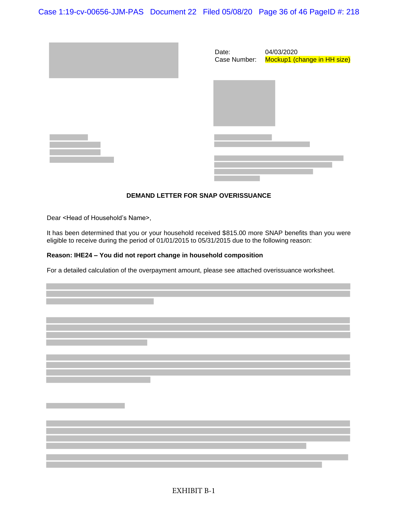Case 1:19-cv-00656-JJM-PAS Document 22 Filed 05/08/20 Page 36 of 46 PageID #: 218







## **DEMAND LETTER FOR SNAP OVERISSUANCE**

Dear <Head of Household's Name>,

It has been determined that you or your household received \$815.00 more SNAP benefits than you were eligible to receive during the period of 01/01/2015 to 05/31/2015 due to the following reason:

## **Reason: IHE24 – You did not report change in household composition**

For a detailed calculation of the overpayment amount, please see attached overissuance worksheet.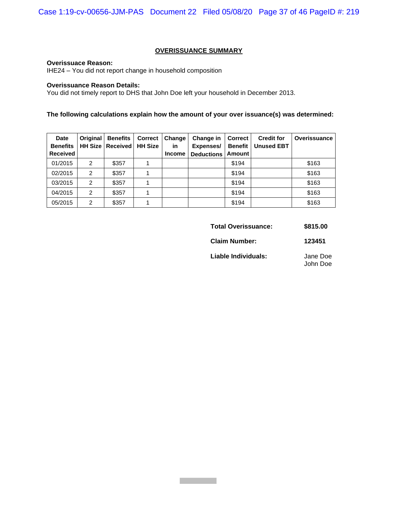## **OVERISSUANCE SUMMARY**

#### **Overissuace Reason:**

IHE24 – You did not report change in household composition

## **Overissuance Reason Details:**

You did not timely report to DHS that John Doe left your household in December 2013.

## **The following calculations explain how the amount of your over issuance(s) was determined:**

| <b>Date</b><br><b>Benefits</b> | <b>Original</b> | <b>Benefits</b><br><b>HH Size   Received</b> | <b>Correct</b><br><b>HH Size</b> | Change<br>in  | Change in<br>Expenses/ | <b>Correct</b><br><b>Benefit</b> | <b>Credit for</b><br><b>Unused EBT</b> | Overissuance |
|--------------------------------|-----------------|----------------------------------------------|----------------------------------|---------------|------------------------|----------------------------------|----------------------------------------|--------------|
| <b>Received</b>                |                 |                                              |                                  | <b>Income</b> | <b>Deductions</b>      | <b>Amount</b>                    |                                        |              |
| 01/2015                        | 2               | \$357                                        |                                  |               |                        | \$194                            |                                        | \$163        |
| 02/2015                        | 2               | \$357                                        |                                  |               |                        | \$194                            |                                        | \$163        |
| 03/2015                        | $\mathfrak{p}$  | \$357                                        |                                  |               |                        | \$194                            |                                        | \$163        |
| 04/2015                        | $\mathfrak{p}$  | \$357                                        |                                  |               |                        | \$194                            |                                        | \$163        |
| 05/2015                        | $\overline{2}$  | \$357                                        |                                  |               |                        | \$194                            |                                        | \$163        |

| Total Overissuance: | \$815.00 |
|---------------------|----------|
|---------------------|----------|

**Claim Number: 123451**

**Liable Individuals:** Jane Doe John Doe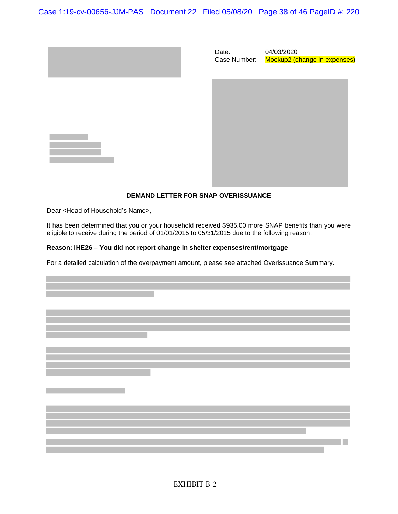Case 1:19-cv-00656-JJM-PAS Document 22 Filed 05/08/20 Page 38 of 46 PageID #: 220







## **DEMAND LETTER FOR SNAP OVERISSUANCE**

Dear <Head of Household's Name>,

It has been determined that you or your household received \$935.00 more SNAP benefits than you were eligible to receive during the period of 01/01/2015 to 05/31/2015 due to the following reason:

## **Reason: IHE26 – You did not report change in shelter expenses/rent/mortgage**

For a detailed calculation of the overpayment amount, please see attached Overissuance Summary.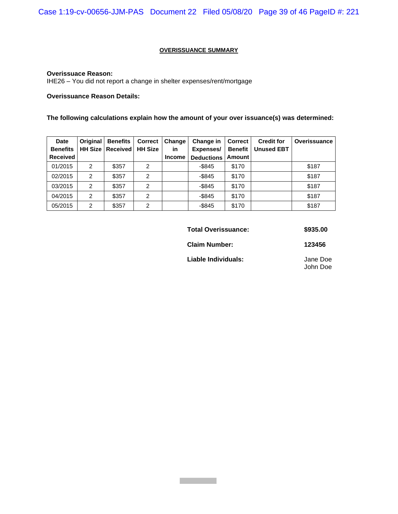## **OVERISSUANCE SUMMARY**

### **Overissuace Reason:**

IHE26 – You did not report a change in shelter expenses/rent/mortgage

## **Overissuance Reason Details:**

## **The following calculations explain how the amount of your over issuance(s) was determined:**

| <b>Date</b><br><b>Benefits</b> | <b>Original</b><br><b>HH Size</b> | <b>Benefits</b><br><b>Received</b> | <b>Correct</b><br><b>HH Size</b> | Change<br>in  | Change in<br>Expenses/ | <b>Correct</b><br><b>Benefit</b> | <b>Credit for</b><br><b>Unused EBT</b> | Overissuance |
|--------------------------------|-----------------------------------|------------------------------------|----------------------------------|---------------|------------------------|----------------------------------|----------------------------------------|--------------|
| <b>Received</b>                |                                   |                                    |                                  | <b>Income</b> | <b>Deductions</b>      | <b>Amount</b>                    |                                        |              |
| 01/2015                        | 2                                 | \$357                              | $\overline{2}$                   |               | $-$ \$845              | \$170                            |                                        | \$187        |
| 02/2015                        | 2                                 | \$357                              | $\overline{2}$                   |               | $-$ \$845              | \$170                            |                                        | \$187        |
| 03/2015                        | $\mathfrak{p}$                    | \$357                              | $\overline{2}$                   |               | $-$ \$845              | \$170                            |                                        | \$187        |
| 04/2015                        | $\mathfrak{p}$                    | \$357                              | $\overline{2}$                   |               | $-$ \$845              | \$170                            |                                        | \$187        |
| 05/2015                        | $\overline{2}$                    | \$357                              | 2                                |               | $-$ \$845              | \$170                            |                                        | \$187        |

| <b>Total Overissuance:</b> | \$935.00             |
|----------------------------|----------------------|
| <b>Claim Number:</b>       | 123456               |
| Liable Individuals:        | Jane Doe<br>John Doe |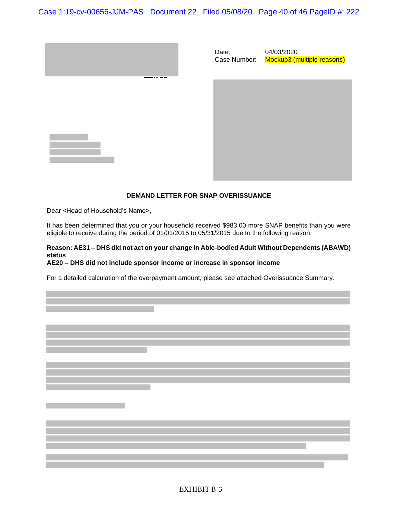Case 1:19-cv-00656-JJM-PAS Document 22 Filed 05/08/20 Page 40 of 46 PageID #: 222

Date:



| Case Number: | Mockup3 (multiple reasons) |
|--------------|----------------------------|
|              |                            |
|              |                            |
|              |                            |
|              |                            |
|              |                            |
|              |                            |
|              |                            |
|              |                            |

04/03/2020

### **DEMAND LETTER FOR SNAP OVERISSUANCE**

Dear <Head of Household's Name>,

It has been determined that you or your household received \$983.00 more SNAP benefits than you were eligible to receive during the period of 01/01/2015 to 05/31/2015 due to the following reason:

## **Reason: AE31 – DHS did not act on your change in Able-bodied Adult Without Dependents (ABAWD) status**

#### **AE20 – DHS did not include sponsor income or increase in sponsor income**

For a detailed calculation of the overpayment amount, please see attached Overissuance Summary.

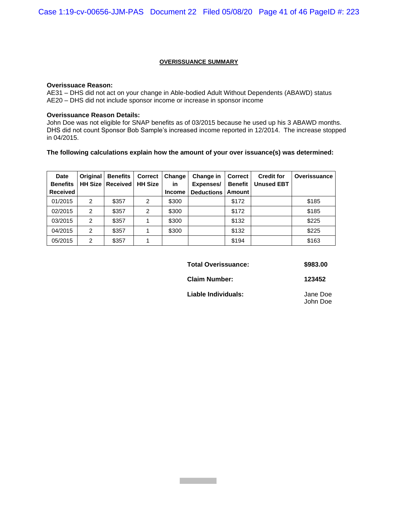#### **OVERISSUANCE SUMMARY**

#### **Overissuace Reason:**

AE31 – DHS did not act on your change in Able-bodied Adult Without Dependents (ABAWD) status AE20 – DHS did not include sponsor income or increase in sponsor income

### **Overissuance Reason Details:**

John Doe was not eligible for SNAP benefits as of 03/2015 because he used up his 3 ABAWD months. DHS did not count Sponsor Bob Sample's increased income reported in 12/2014. The increase stopped in 04/2015.

#### **The following calculations explain how the amount of your over issuance(s) was determined:**

| <b>Date</b><br><b>Benefits</b> | <b>Original</b> | <b>Benefits</b><br><b>HH Size   Received  </b> | <b>Correct</b><br><b>HH Size</b> | Change<br>in  | Change in<br>Expenses/ | <b>Correct</b><br><b>Benefit</b> | <b>Credit for</b><br><b>Unused EBT</b> | Overissuance |
|--------------------------------|-----------------|------------------------------------------------|----------------------------------|---------------|------------------------|----------------------------------|----------------------------------------|--------------|
| <b>Received</b>                |                 |                                                |                                  | <b>Income</b> | <b>Deductions</b>      | Amount                           |                                        |              |
| 01/2015                        | $\overline{2}$  | \$357                                          | 2                                | \$300         |                        | \$172                            |                                        | \$185        |
| 02/2015                        | $\overline{2}$  | \$357                                          | 2                                | \$300         |                        | \$172                            |                                        | \$185        |
| 03/2015                        | $\overline{2}$  | \$357                                          |                                  | \$300         |                        | \$132                            |                                        | \$225        |
| 04/2015                        | $\overline{2}$  | \$357                                          |                                  | \$300         |                        | \$132                            |                                        | \$225        |
| 05/2015                        | $\overline{2}$  | \$357                                          |                                  |               |                        | \$194                            |                                        | \$163        |

**Total Overissuance: \$983.00**

**Claim Number: 123452**

**Liable Individuals:** Jane Doe

John Doe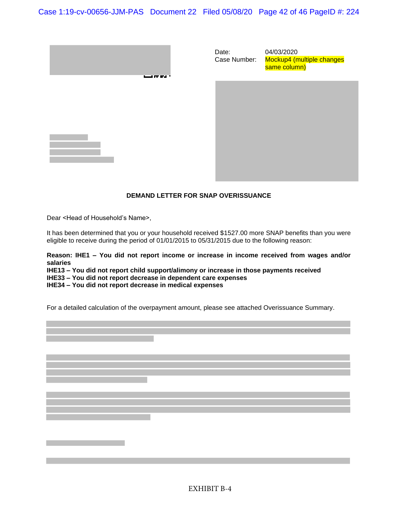Case 1:19-cv-00656-JJM-PAS Document 22 Filed 05/08/20 Page 42 of 46 PageID #: 224



Date: Case Number: 04/03/2020 Mockup4 (multiple changes same column)

## **DEMAND LETTER FOR SNAP OVERISSUANCE**

Dear <Head of Household's Name>,

It has been determined that you or your household received \$1527.00 more SNAP benefits than you were eligible to receive during the period of 01/01/2015 to 05/31/2015 due to the following reason:

**Reason: IHE1 – You did not report income or increase in income received from wages and/or salaries**

**IHE13 – You did not report child support/alimony or increase in those payments received IHE33 – You did not report decrease in dependent care expenses IHE34 – You did not report decrease in medical expenses**

For a detailed calculation of the overpayment amount, please see attached Overissuance Summary.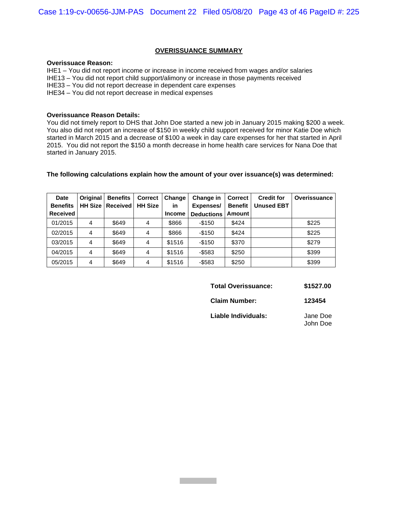#### **OVERISSUANCE SUMMARY**

#### **Overissuace Reason:**

IHE1 – You did not report income or increase in income received from wages and/or salaries IHE13 – You did not report child support/alimony or increase in those payments received IHE33 – You did not report decrease in dependent care expenses IHE34 – You did not report decrease in medical expenses

#### **Overissuance Reason Details:**

You did not timely report to DHS that John Doe started a new job in January 2015 making \$200 a week. You also did not report an increase of \$150 in weekly child support received for minor Katie Doe which started in March 2015 and a decrease of \$100 a week in day care expenses for her that started in April 2015. You did not report the \$150 a month decrease in home health care services for Nana Doe that started in January 2015.

### **The following calculations explain how the amount of your over issuance(s) was determined:**

| <b>Date</b><br><b>Benefits</b> | <b>Original</b> | <b>Benefits</b><br><b>HH Size   Received</b> | <b>Correct</b><br><b>HH Size</b> | Change<br>in  | Change in<br>Expenses/ | <b>Correct</b><br><b>Benefit</b> | <b>Credit for</b><br><b>Unused EBT</b> | Overissuance |
|--------------------------------|-----------------|----------------------------------------------|----------------------------------|---------------|------------------------|----------------------------------|----------------------------------------|--------------|
| <b>Received</b>                |                 |                                              |                                  | <b>Income</b> | Deductions             | Amount                           |                                        |              |
| 01/2015                        | 4               | \$649                                        | 4                                | \$866         | $-$150$                | \$424                            |                                        | \$225        |
| 02/2015                        | 4               | \$649                                        | 4                                | \$866         | $-$150$                | \$424                            |                                        | \$225        |
| 03/2015                        | 4               | \$649                                        | 4                                | \$1516        | $-$150$                | \$370                            |                                        | \$279        |
| 04/2015                        | 4               | \$649                                        | 4                                | \$1516        | $-$ \$583              | \$250                            |                                        | \$399        |
| 05/2015                        | 4               | \$649                                        | 4                                | \$1516        | $-$583$                | \$250                            |                                        | \$399        |

| <b>Total Overissuance:</b> | \$1527.00 |
|----------------------------|-----------|
|----------------------------|-----------|

**Claim Number: 123454**

**Liable Individuals:** Jane Doe John Doe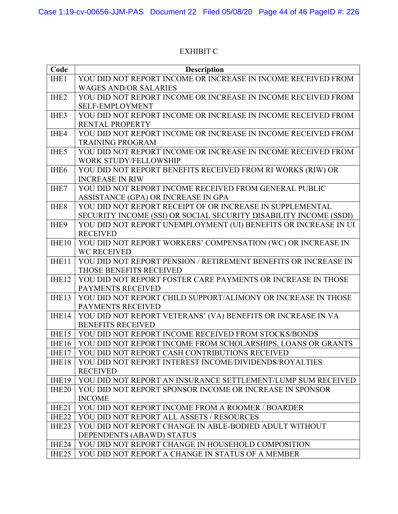# EXHIBIT C

| Code              | <b>Description</b>                                                |
|-------------------|-------------------------------------------------------------------|
| IHE1              | YOU DID NOT REPORT INCOME OR INCREASE IN INCOME RECEIVED FROM     |
|                   | <b>WAGES AND/OR SALARIES</b>                                      |
| IHE <sub>2</sub>  | YOU DID NOT REPORT INCOME OR INCREASE IN INCOME RECEIVED FROM     |
|                   | <b>SELF-EMPLOYMENT</b>                                            |
| IHE3              | YOU DID NOT REPORT INCOME OR INCREASE IN INCOME RECEIVED FROM     |
|                   | <b>RENTAL PROPERTY</b>                                            |
| IHE4              | YOU DID NOT REPORT INCOME OR INCREASE IN INCOME RECEIVED FROM     |
|                   | <b>TRAINING PROGRAM</b>                                           |
| IHE5              | YOU DID NOT REPORT INCOME OR INCREASE IN INCOME RECEIVED FROM     |
|                   | WORK STUDY/FELLOWSHIP                                             |
| IHE <sub>6</sub>  | YOU DID NOT REPORT BENEFITS RECEIVED FROM RI WORKS (RIW) OR       |
|                   | <b>INCREASE IN RIW</b>                                            |
| IHE7              | YOU DID NOT REPORT INCOME RECEIVED FROM GENERAL PUBLIC            |
|                   | ASSISTANCE (GPA) OR INCREASE IN GPA                               |
| IHE <sub>8</sub>  | YOU DID NOT REPORT RECEIPT OF OR INCREASE IN SUPPLEMENTAL         |
|                   | SECURITY INCOME (SSI) OR SOCIAL SECURITY DISABILITY INCOME (SSDI) |
| IHE9              | YOU DID NOT REPORT UNEMPLOYMENT (UI) BENEFITS OR INCREASE IN UI   |
|                   | <b>RECEIVED</b>                                                   |
| IHE10             | YOU DID NOT REPORT WORKERS' COMPENSATION (WC) OR INCREASE IN      |
|                   | <b>WC RECEIVED</b>                                                |
| IHE11             | YOU DID NOT REPORT PENSION / RETIREMENT BENEFITS OR INCREASE IN   |
|                   | THOSE BENEFITS RECEIVED                                           |
| IHE12             | YOU DID NOT REPORT FOSTER CARE PAYMENTS OR INCREASE IN THOSE      |
|                   | PAYMENTS RECEIVED                                                 |
| IHE13             | YOU DID NOT REPORT CHILD SUPPORT/ALIMONY OR INCREASE IN THOSE     |
|                   | PAYMENTS RECEIVED                                                 |
| IHE14             | YOU DID NOT REPORT VETERANS' (VA) BENEFITS OR INCREASE IN VA      |
|                   | <b>BENEFITS RECEIVED</b>                                          |
| IHE15             | YOU DID NOT REPORT INCOME RECEIVED FROM STOCKS/BONDS              |
| IHE16             | YOU DID NOT REPORT INCOME FROM SCHOLARSHIPS, LOANS OR GRANTS      |
| IHE17             | YOU DID NOT REPORT CASH CONTRIBUTIONS RECEIVED                    |
| IHE18             | YOU DID NOT REPORT INTEREST INCOME/DIVIDENDS/ROYALTIES            |
|                   | <b>RECEIVED</b>                                                   |
| IHE19             | YOU DID NOT REPORT AN INSURANCE SETTLEMENT/LUMP SUM RECEIVED      |
| IHE <sub>20</sub> | YOU DID NOT REPORT SPONSOR INCOME OR INCREASE IN SPONSOR          |
|                   | <b>INCOME</b>                                                     |
| IHE <sub>21</sub> | YOU DID NOT REPORT INCOME FROM A ROOMER / BOARDER                 |
| IHE <sub>22</sub> | YOU DID NOT REPORT ALL ASSETS / RESOURCES                         |
| IHE <sub>23</sub> | YOU DID NOT REPORT CHANGE IN ABLE-BODIED ADULT WITHOUT            |
|                   | DEPENDENTS (ABAWD) STATUS                                         |
| IHE24             | YOU DID NOT REPORT CHANGE IN HOUSEHOLD COMPOSITION                |
| IHE <sub>25</sub> | YOU DID NOT REPORT A CHANGE IN STATUS OF A MEMBER                 |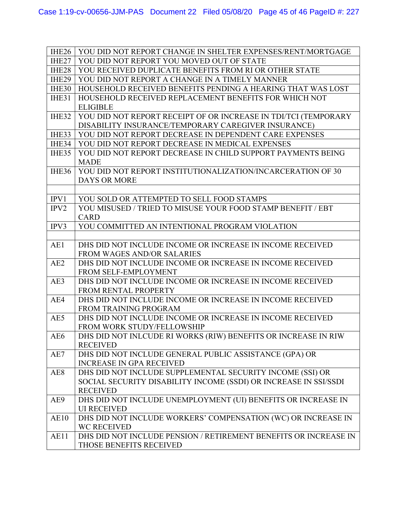| IHE <sub>26</sub> | YOU DID NOT REPORT CHANGE IN SHELTER EXPENSES/RENT/MORTGAGE                      |
|-------------------|----------------------------------------------------------------------------------|
| IHE <sub>27</sub> | YOU DID NOT REPORT YOU MOVED OUT OF STATE                                        |
| IHE <sub>28</sub> | YOU RECEIVED DUPLICATE BENEFITS FROM RI OR OTHER STATE                           |
| IHE29             | YOU DID NOT REPORT A CHANGE IN A TIMELY MANNER                                   |
| IHE30             | HOUSEHOLD RECEIVED BENEFITS PENDING A HEARING THAT WAS LOST                      |
| IHE31             | HOUSEHOLD RECEIVED REPLACEMENT BENEFITS FOR WHICH NOT                            |
|                   | <b>ELIGIBLE</b>                                                                  |
| IHE32             | YOU DID NOT REPORT RECEIPT OF OR INCREASE IN TDI/TCI (TEMPORARY                  |
|                   | DISABILITY INSURANCE/TEMPORARY CAREGIVER INSURANCE)                              |
| IHE33             | YOU DID NOT REPORT DECREASE IN DEPENDENT CARE EXPENSES                           |
| <b>IHE34</b>      | YOU DID NOT REPORT DECREASE IN MEDICAL EXPENSES                                  |
| IHE35             | YOU DID NOT REPORT DECREASE IN CHILD SUPPORT PAYMENTS BEING                      |
|                   | <b>MADE</b>                                                                      |
| IHE36             | YOU DID NOT REPORT INSTITUTIONALIZATION/INCARCERATION OF 30                      |
|                   | <b>DAYS OR MORE</b>                                                              |
|                   |                                                                                  |
| IPV1              | YOU SOLD OR ATTEMPTED TO SELL FOOD STAMPS                                        |
| IPV2              | YOU MISUSED / TRIED TO MISUSE YOUR FOOD STAMP BENEFIT / EBT                      |
|                   | <b>CARD</b>                                                                      |
| IPV3              | YOU COMMITTED AN INTENTIONAL PROGRAM VIOLATION                                   |
|                   |                                                                                  |
| AE1               | DHS DID NOT INCLUDE INCOME OR INCREASE IN INCOME RECEIVED                        |
|                   | <b>FROM WAGES AND/OR SALARIES</b>                                                |
| AE2               | DHS DID NOT INCLUDE INCOME OR INCREASE IN INCOME RECEIVED                        |
|                   | FROM SELF-EMPLOYMENT                                                             |
| AE3               | DHS DID NOT INCLUDE INCOME OR INCREASE IN INCOME RECEIVED                        |
|                   | <b>FROM RENTAL PROPERTY</b>                                                      |
| AE4               | DHS DID NOT INCLUDE INCOME OR INCREASE IN INCOME RECEIVED                        |
|                   | FROM TRAINING PROGRAM                                                            |
| AE5               | DHS DID NOT INCLUDE INCOME OR INCREASE IN INCOME RECEIVED                        |
|                   | FROM WORK STUDY/FELLOWSHIP                                                       |
| AE6               | DHS DID NOT INLCUDE RI WORKS (RIW) BENEFITS OR INCREASE IN RIW                   |
|                   | <b>RECEIVED</b>                                                                  |
| AE7               | DHS DID NOT INCLUDE GENERAL PUBLIC ASSISTANCE (GPA) OR                           |
|                   | <b>INCREASE IN GPA RECEIVED</b>                                                  |
| AE8               | DHS DID NOT INCLUDE SUPPLEMENTAL SECURITY INCOME (SSI) OR                        |
|                   | SOCIAL SECURITY DISABILITY INCOME (SSDI) OR INCREASE IN SSI/SSDI                 |
| AE9               | <b>RECEIVED</b><br>DHS DID NOT INCLUDE UNEMPLOYMENT (UI) BENEFITS OR INCREASE IN |
|                   | <b>UI RECEIVED</b>                                                               |
| AE10              | DHS DID NOT INCLUDE WORKERS' COMPENSATION (WC) OR INCREASE IN                    |
|                   | <b>WC RECEIVED</b>                                                               |
| AE11              | DHS DID NOT INCLUDE PENSION / RETIREMENT BENEFITS OR INCREASE IN                 |
|                   | THOSE BENEFITS RECEIVED                                                          |
|                   |                                                                                  |